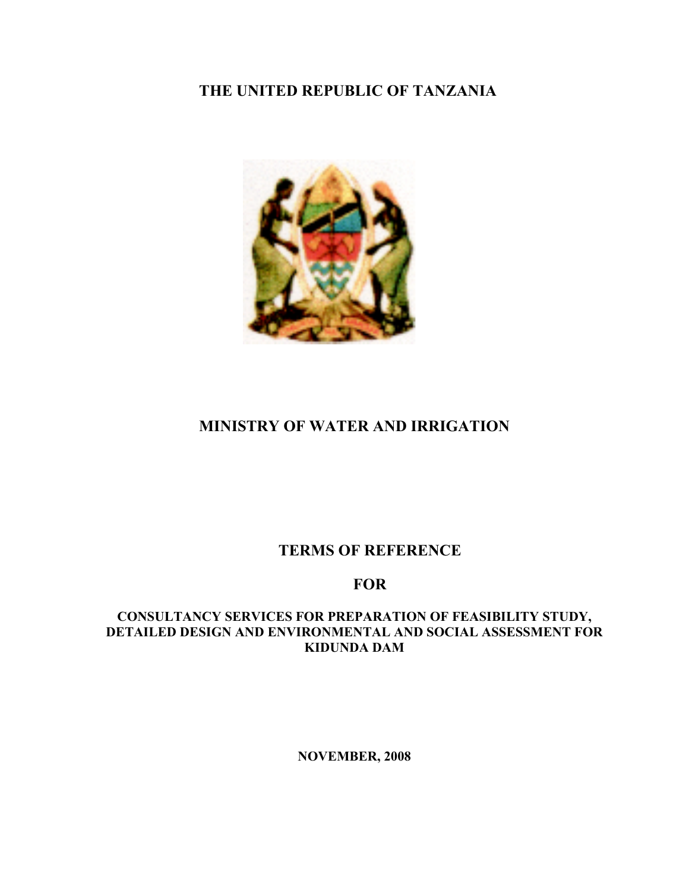# **THE UNITED REPUBLIC OF TANZANIA**



# **MINISTRY OF WATER AND IRRIGATION**

# **TERMS OF REFERENCE**

### **FOR**

#### **CONSULTANCY SERVICES FOR PREPARATION OF FEASIBILITY STUDY, DETAILED DESIGN AND ENVIRONMENTAL AND SOCIAL ASSESSMENT FOR KIDUNDA DAM**

**NOVEMBER, 2008**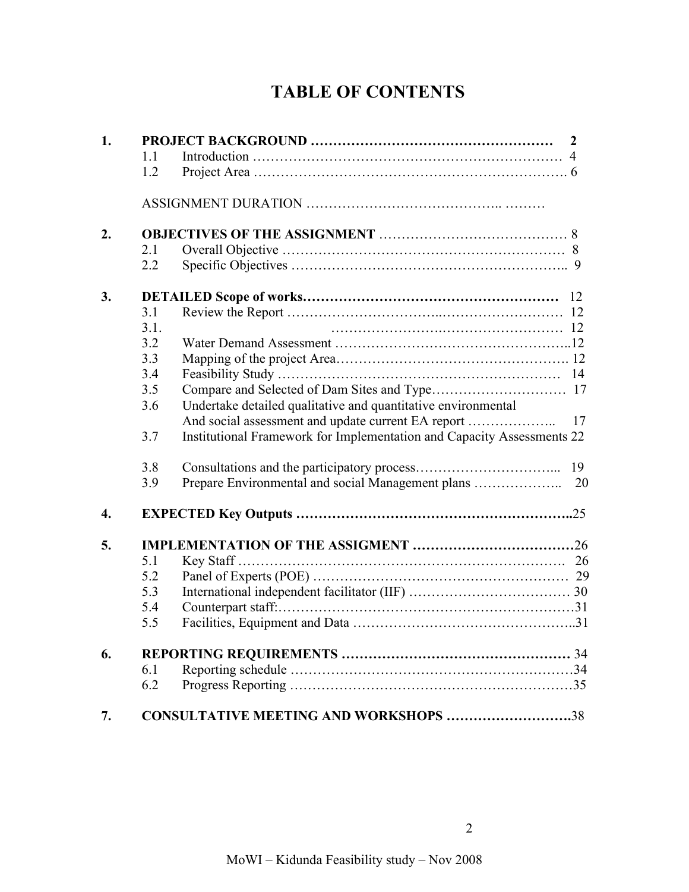# **TABLE OF CONTENTS**

| 1.               | $\overline{2}$ |                                                                        |    |
|------------------|----------------|------------------------------------------------------------------------|----|
|                  | 11             |                                                                        |    |
|                  | 1.2            |                                                                        |    |
|                  |                |                                                                        |    |
| 2.               |                |                                                                        |    |
|                  | 2.1            |                                                                        |    |
|                  | 2.2            |                                                                        |    |
| 3.               |                |                                                                        |    |
|                  | 3.1            |                                                                        |    |
|                  | 3.1.           |                                                                        |    |
|                  | 3.2            |                                                                        |    |
|                  | 3.3            |                                                                        |    |
|                  | 3.4            |                                                                        |    |
|                  | 3.5            |                                                                        |    |
|                  | 3.6            | Undertake detailed qualitative and quantitative environmental          |    |
|                  |                |                                                                        |    |
|                  | 3.7            | Institutional Framework for Implementation and Capacity Assessments 22 |    |
|                  | 3.8            |                                                                        |    |
|                  | 3.9            |                                                                        | 20 |
| $\overline{4}$ . |                |                                                                        |    |
| 5.               |                |                                                                        |    |
|                  | 5.1            |                                                                        |    |
|                  | 5.2            |                                                                        |    |
|                  | 5.3            |                                                                        |    |
|                  | 5.4            |                                                                        |    |
|                  | 5.5            |                                                                        |    |
| 6.               |                |                                                                        |    |
|                  | 6.1            |                                                                        |    |
|                  | 6.2            |                                                                        |    |
| 7.               |                | CONSULTATIVE MEETING AND WORKSHOPS 38                                  |    |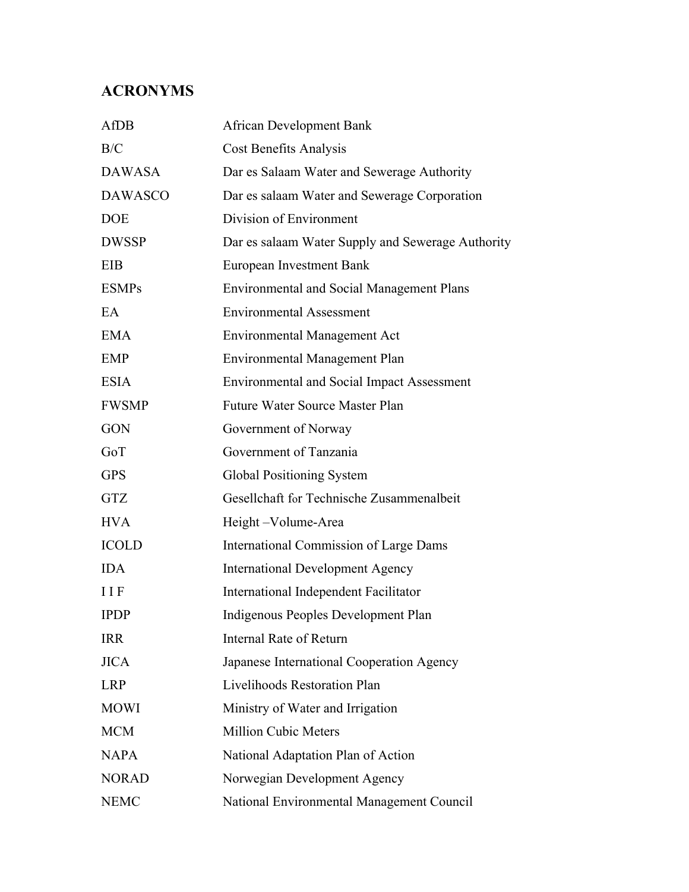# **ACRONYMS**

| <b>AfDB</b>    | <b>African Development Bank</b>                   |
|----------------|---------------------------------------------------|
| B/C            | Cost Benefits Analysis                            |
| <b>DAWASA</b>  | Dar es Salaam Water and Sewerage Authority        |
| <b>DAWASCO</b> | Dar es salaam Water and Sewerage Corporation      |
| <b>DOE</b>     | Division of Environment                           |
| <b>DWSSP</b>   | Dar es salaam Water Supply and Sewerage Authority |
| EIB            | European Investment Bank                          |
| <b>ESMPs</b>   | <b>Environmental and Social Management Plans</b>  |
| EA             | <b>Environmental Assessment</b>                   |
| <b>EMA</b>     | <b>Environmental Management Act</b>               |
| <b>EMP</b>     | Environmental Management Plan                     |
| <b>ESIA</b>    | <b>Environmental and Social Impact Assessment</b> |
| <b>FWSMP</b>   | Future Water Source Master Plan                   |
| <b>GON</b>     | Government of Norway                              |
| GoT            | Government of Tanzania                            |
| <b>GPS</b>     | <b>Global Positioning System</b>                  |
| <b>GTZ</b>     | Gesellchaft for Technische Zusammenalbeit         |
| <b>HVA</b>     | Height-Volume-Area                                |
| <b>ICOLD</b>   | <b>International Commission of Large Dams</b>     |
| <b>IDA</b>     | <b>International Development Agency</b>           |
| <b>IIF</b>     | International Independent Facilitator             |
| <b>IPDP</b>    | Indigenous Peoples Development Plan               |
| <b>IRR</b>     | Internal Rate of Return                           |
| <b>JICA</b>    | Japanese International Cooperation Agency         |
| <b>LRP</b>     | Livelihoods Restoration Plan                      |
| <b>MOWI</b>    | Ministry of Water and Irrigation                  |
| <b>MCM</b>     | <b>Million Cubic Meters</b>                       |
| <b>NAPA</b>    | National Adaptation Plan of Action                |
| <b>NORAD</b>   | Norwegian Development Agency                      |
| <b>NEMC</b>    | National Environmental Management Council         |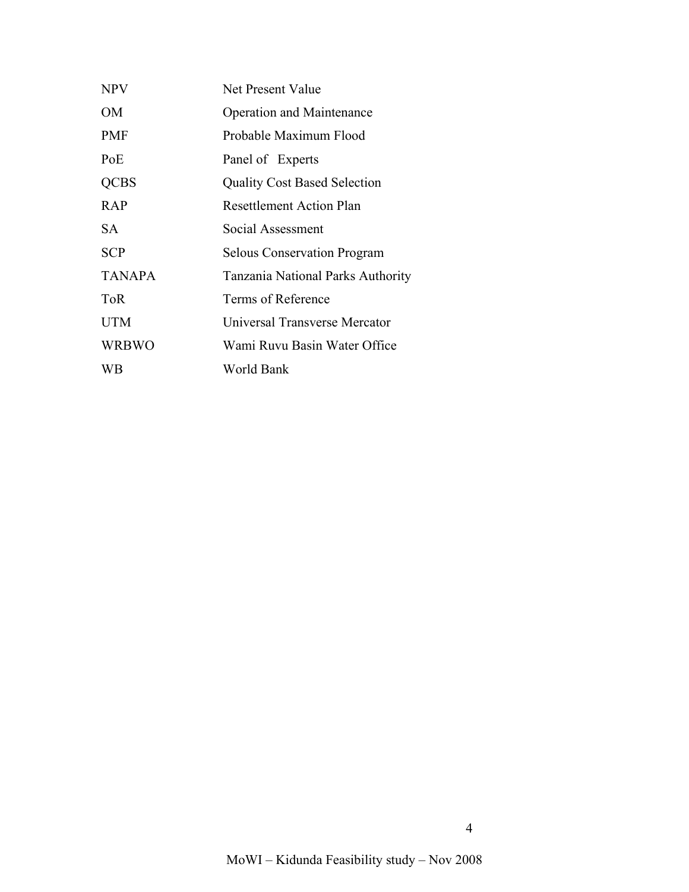| <b>NPV</b>    | Net Present Value                   |
|---------------|-------------------------------------|
| OM            | <b>Operation and Maintenance</b>    |
| <b>PMF</b>    | Probable Maximum Flood              |
| PoE           | Panel of Experts                    |
| <b>QCBS</b>   | <b>Quality Cost Based Selection</b> |
| <b>RAP</b>    | Resettlement Action Plan            |
| SА            | Social Assessment                   |
| <b>SCP</b>    | <b>Selous Conservation Program</b>  |
| <b>TANAPA</b> | Tanzania National Parks Authority   |
| <b>ToR</b>    | Terms of Reference                  |
| <b>UTM</b>    | Universal Transverse Mercator       |
| <b>WRBWO</b>  | Wami Ruvu Basin Water Office        |
| WB            | World Bank                          |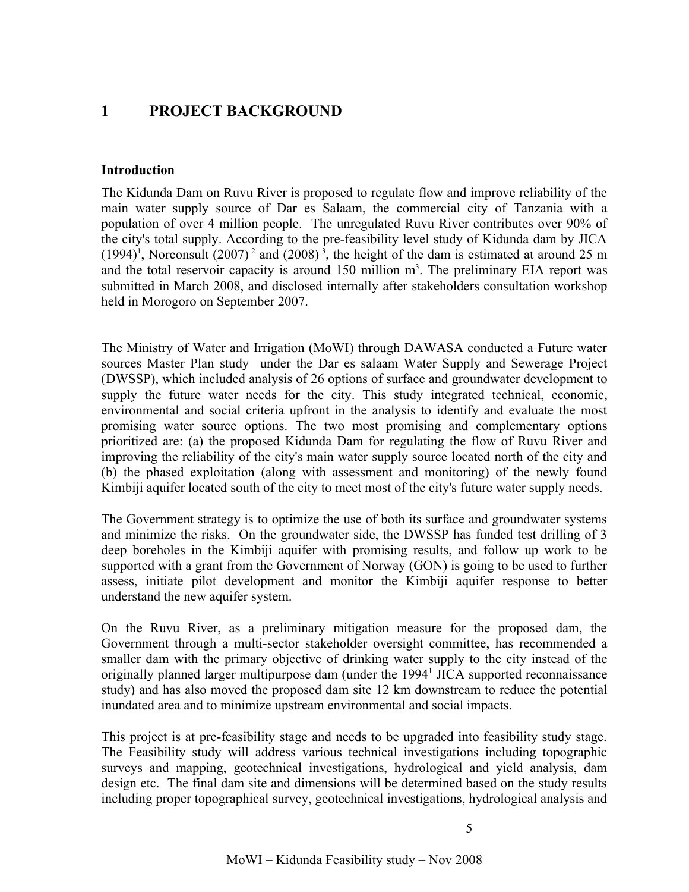# **1 PROJECT BACKGROUND**

#### **Introduction**

The Kidunda Dam on Ruvu River is proposed to regulate flow and improve reliability of the main water supply source of Dar es Salaam, the commercial city of Tanzania with a population of over 4 million people. The unregulated Ruvu River contributes over 90% of the city's total supply. According to the pre-feasibility level study of Kidunda dam by JICA  $(1994)^1$ , Norconsult  $(2007)^2$  and  $(2008)^3$ , the height of the dam is estimated at around 25 m and the total reservoir capacity is around 150 million m<sup>3</sup>. The preliminary EIA report was submitted in March 2008, and disclosed internally after stakeholders consultation workshop held in Morogoro on September 2007.

The Ministry of Water and Irrigation (MoWI) through DAWASA conducted a Future water sources Master Plan study under the Dar es salaam Water Supply and Sewerage Project (DWSSP), which included analysis of 26 options of surface and groundwater development to supply the future water needs for the city. This study integrated technical, economic, environmental and social criteria upfront in the analysis to identify and evaluate the most promising water source options. The two most promising and complementary options prioritized are: (a) the proposed Kidunda Dam for regulating the flow of Ruvu River and improving the reliability of the city's main water supply source located north of the city and (b) the phased exploitation (along with assessment and monitoring) of the newly found Kimbiji aquifer located south of the city to meet most of the city's future water supply needs.

The Government strategy is to optimize the use of both its surface and groundwater systems and minimize the risks. On the groundwater side, the DWSSP has funded test drilling of 3 deep boreholes in the Kimbiji aquifer with promising results, and follow up work to be supported with a grant from the Government of Norway (GON) is going to be used to further assess, initiate pilot development and monitor the Kimbiji aquifer response to better understand the new aquifer system.

On the Ruvu River, as a preliminary mitigation measure for the proposed dam, the Government through a multi-sector stakeholder oversight committee, has recommended a smaller dam with the primary objective of drinking water supply to the city instead of the originally planned larger multipurpose dam (under the 1994<sup>1</sup> JICA supported reconnaissance study) and has also moved the proposed dam site 12 km downstream to reduce the potential inundated area and to minimize upstream environmental and social impacts.

This project is at pre-feasibility stage and needs to be upgraded into feasibility study stage. The Feasibility study will address various technical investigations including topographic surveys and mapping, geotechnical investigations, hydrological and yield analysis, dam design etc. The final dam site and dimensions will be determined based on the study results including proper topographical survey, geotechnical investigations, hydrological analysis and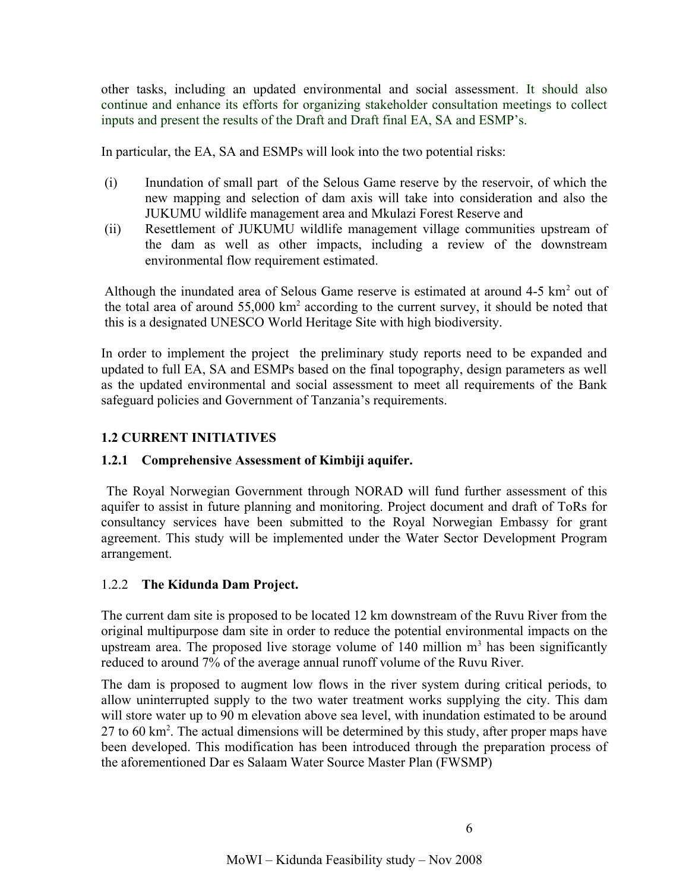other tasks, including an updated environmental and social assessment. It should also continue and enhance its efforts for organizing stakeholder consultation meetings to collect inputs and present the results of the Draft and Draft final EA, SA and ESMP's.

In particular, the EA, SA and ESMPs will look into the two potential risks:

- (i) Inundation of small part of the Selous Game reserve by the reservoir, of which the new mapping and selection of dam axis will take into consideration and also the JUKUMU wildlife management area and Mkulazi Forest Reserve and
- (ii) Resettlement of JUKUMU wildlife management village communities upstream of the dam as well as other impacts, including a review of the downstream environmental flow requirement estimated.

Although the inundated area of Selous Game reserve is estimated at around  $4-5 \text{ km}^2$  out of the total area of around 55,000 km<sup>2</sup> according to the current survey, it should be noted that this is a designated UNESCO World Heritage Site with high biodiversity.

In order to implement the project the preliminary study reports need to be expanded and updated to full EA, SA and ESMPs based on the final topography, design parameters as well as the updated environmental and social assessment to meet all requirements of the Bank safeguard policies and Government of Tanzania's requirements.

### **1.2 CURRENT INITIATIVES**

#### **1.2.1 Comprehensive Assessment of Kimbiji aquifer.**

The Royal Norwegian Government through NORAD will fund further assessment of this aquifer to assist in future planning and monitoring. Project document and draft of ToRs for consultancy services have been submitted to the Royal Norwegian Embassy for grant agreement. This study will be implemented under the Water Sector Development Program arrangement.

#### 1.2.2 **The Kidunda Dam Project.**

The current dam site is proposed to be located 12 km downstream of the Ruvu River from the original multipurpose dam site in order to reduce the potential environmental impacts on the upstream area. The proposed live storage volume of  $140$  million  $m<sup>3</sup>$  has been significantly reduced to around 7% of the average annual runoff volume of the Ruvu River.

The dam is proposed to augment low flows in the river system during critical periods, to allow uninterrupted supply to the two water treatment works supplying the city. This dam will store water up to 90 m elevation above sea level, with inundation estimated to be around 27 to 60 km<sup>2</sup>. The actual dimensions will be determined by this study, after proper maps have been developed. This modification has been introduced through the preparation process of the aforementioned Dar es Salaam Water Source Master Plan (FWSMP)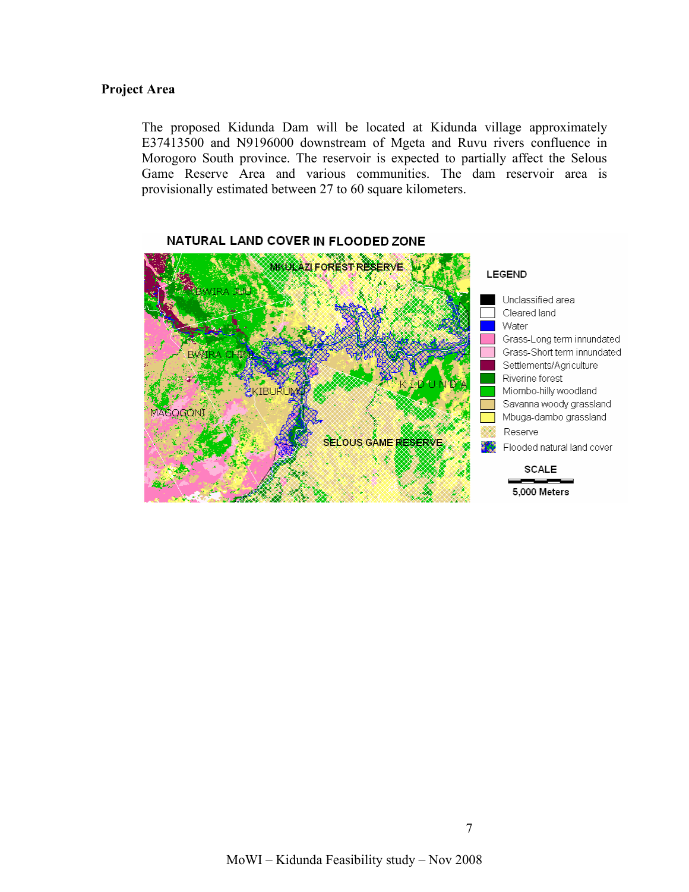#### **Project Area**

The proposed Kidunda Dam will be located at Kidunda village approximately E37413500 and N9196000 downstream of Mgeta and Ruvu rivers confluence in Morogoro South province. The reservoir is expected to partially affect the Selous Game Reserve Area and various communities. The dam reservoir area is provisionally estimated between 27 to 60 square kilometers.

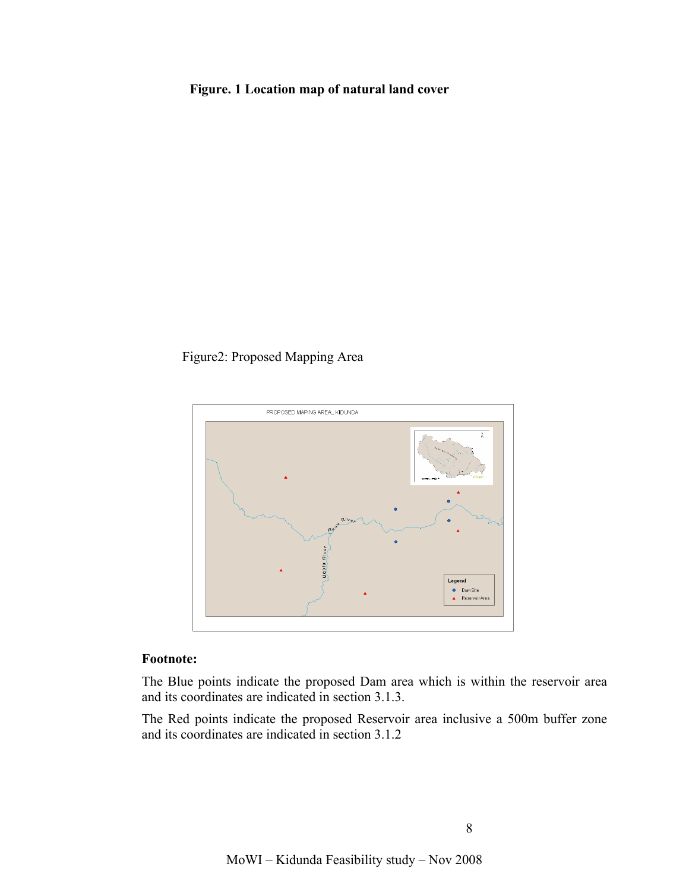#### **Figure. 1 Location map of natural land cover**

#### Figure2: Proposed Mapping Area



#### **Footnote:**

The Blue points indicate the proposed Dam area which is within the reservoir area and its coordinates are indicated in section 3.1.3.

The Red points indicate the proposed Reservoir area inclusive a 500m buffer zone and its coordinates are indicated in section 3.1.2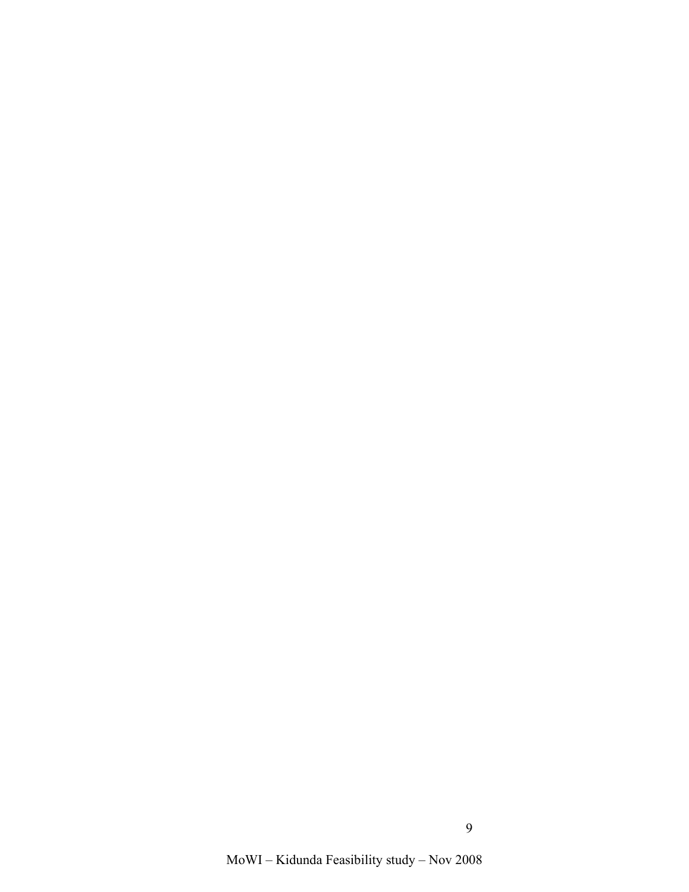MoWI – Kidunda Feasibility study – Nov 2008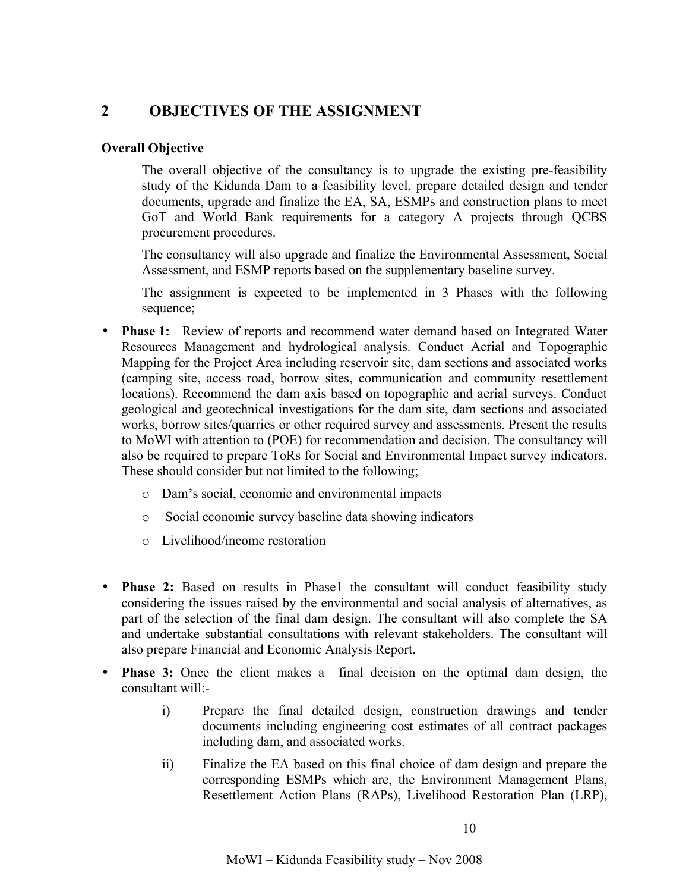# **2 OBJECTIVES OF THE ASSIGNMENT**

#### **Overall Objective**

The overall objective of the consultancy is to upgrade the existing pre-feasibility study of the Kidunda Dam to a feasibility level, prepare detailed design and tender documents, upgrade and finalize the EA, SA, ESMPs and construction plans to meet GoT and World Bank requirements for a category A projects through QCBS procurement procedures.

The consultancy will also upgrade and finalize the Environmental Assessment, Social Assessment, and ESMP reports based on the supplementary baseline survey.

The assignment is expected to be implemented in 3 Phases with the following sequence;

- **Phase 1:** Review of reports and recommend water demand based on Integrated Water Resources Management and hydrological analysis. Conduct Aerial and Topographic Mapping for the Project Area including reservoir site, dam sections and associated works (camping site, access road, borrow sites, communication and community resettlement locations). Recommend the dam axis based on topographic and aerial surveys. Conduct geological and geotechnical investigations for the dam site, dam sections and associated works, borrow sites/quarries or other required survey and assessments. Present the results to MoWI with attention to (POE) for recommendation and decision. The consultancy will also be required to prepare ToRs for Social and Environmental Impact survey indicators. These should consider but not limited to the following;
	- o Dam's social, economic and environmental impacts
	- o Social economic survey baseline data showing indicators
	- o Livelihood/income restoration
- **Phase 2:** Based on results in Phase1 the consultant will conduct feasibility study considering the issues raised by the environmental and social analysis of alternatives, as part of the selection of the final dam design. The consultant will also complete the SA and undertake substantial consultations with relevant stakeholders. The consultant will also prepare Financial and Economic Analysis Report.
- **Phase 3:** Once the client makes a final decision on the optimal dam design, the consultant will:
	- i) Prepare the final detailed design, construction drawings and tender documents including engineering cost estimates of all contract packages including dam, and associated works.
	- ii) Finalize the EA based on this final choice of dam design and prepare the corresponding ESMPs which are, the Environment Management Plans, Resettlement Action Plans (RAPs), Livelihood Restoration Plan (LRP),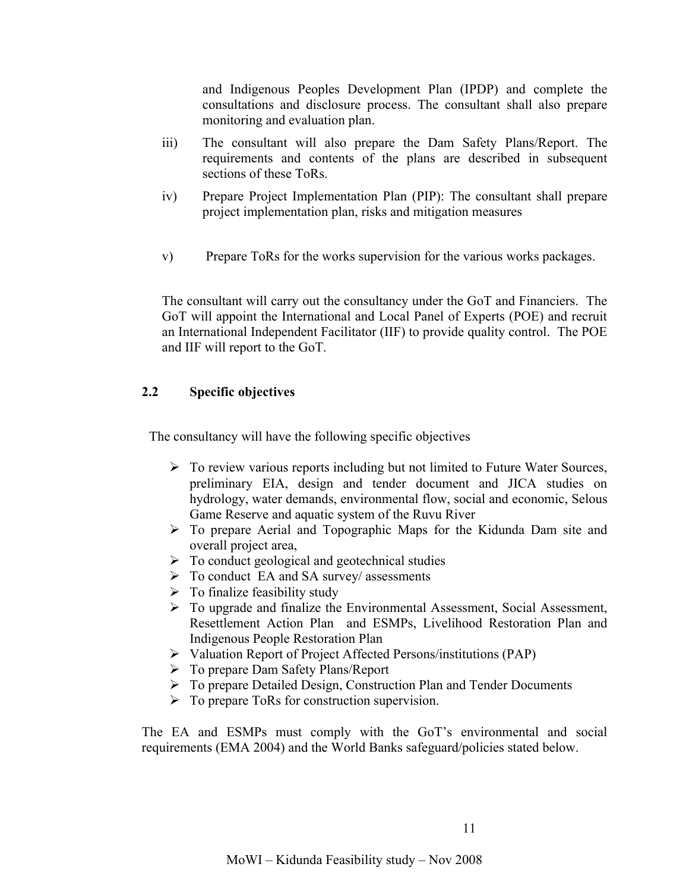and Indigenous Peoples Development Plan (IPDP) and complete the consultations and disclosure process. The consultant shall also prepare monitoring and evaluation plan.

- iii) The consultant will also prepare the Dam Safety Plans/Report. The requirements and contents of the plans are described in subsequent sections of these ToRs.
- iv) Prepare Project Implementation Plan (PIP): The consultant shall prepare project implementation plan, risks and mitigation measures
- v) Prepare ToRs for the works supervision for the various works packages.

The consultant will carry out the consultancy under the GoT and Financiers. The GoT will appoint the International and Local Panel of Experts (POE) and recruit an International Independent Facilitator (IIF) to provide quality control. The POE and IIF will report to the GoT.

#### **2.2 Specific objectives**

The consultancy will have the following specific objectives

- $\triangleright$  To review various reports including but not limited to Future Water Sources, preliminary EIA, design and tender document and JICA studies on hydrology, water demands, environmental flow, social and economic, Selous Game Reserve and aquatic system of the Ruvu River
- To prepare Aerial and Topographic Maps for the Kidunda Dam site and overall project area,
- $\triangleright$  To conduct geological and geotechnical studies
- To conduct EA and SA survey/ assessments
- $\triangleright$  To finalize feasibility study
- To upgrade and finalize the Environmental Assessment, Social Assessment, Resettlement Action Plan and ESMPs, Livelihood Restoration Plan and Indigenous People Restoration Plan
- Valuation Report of Project Affected Persons/institutions (PAP)
- To prepare Dam Safety Plans/Report
- To prepare Detailed Design, Construction Plan and Tender Documents
- $\triangleright$  To prepare ToRs for construction supervision.

The EA and ESMPs must comply with the GoT's environmental and social requirements (EMA 2004) and the World Banks safeguard/policies stated below.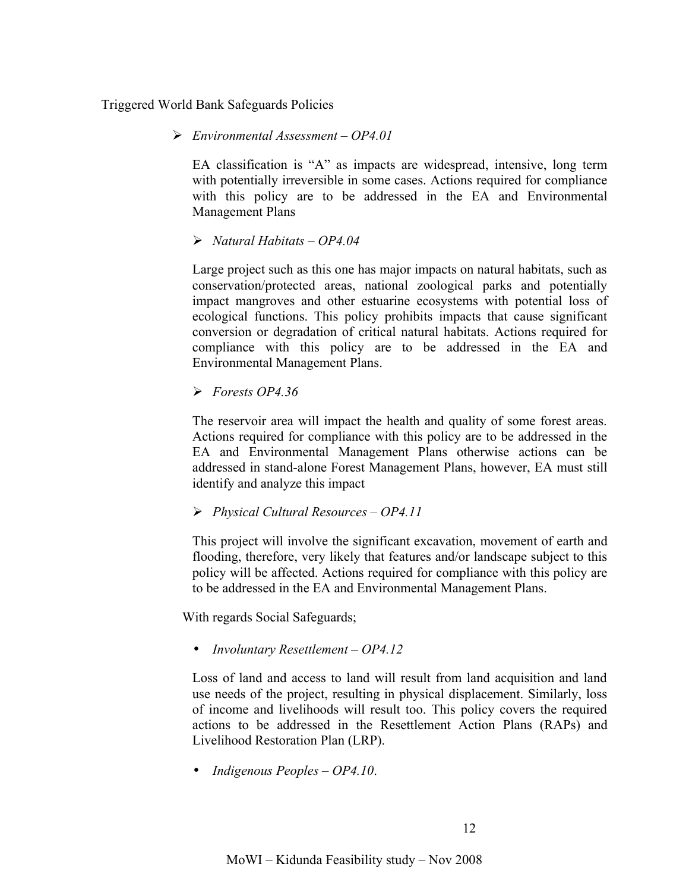Triggered World Bank Safeguards Policies

*Environmental Assessment – OP4.01*

EA classification is "A" as impacts are widespread, intensive, long term with potentially irreversible in some cases. Actions required for compliance with this policy are to be addressed in the EA and Environmental Management Plans

#### *Natural Habitats – OP4.04*

Large project such as this one has major impacts on natural habitats, such as conservation/protected areas, national zoological parks and potentially impact mangroves and other estuarine ecosystems with potential loss of ecological functions. This policy prohibits impacts that cause significant conversion or degradation of critical natural habitats. Actions required for compliance with this policy are to be addressed in the EA and Environmental Management Plans.

#### *Forests OP4.36*

The reservoir area will impact the health and quality of some forest areas. Actions required for compliance with this policy are to be addressed in the EA and Environmental Management Plans otherwise actions can be addressed in stand-alone Forest Management Plans, however, EA must still identify and analyze this impact

#### *Physical Cultural Resources – OP4.11*

This project will involve the significant excavation, movement of earth and flooding, therefore, very likely that features and/or landscape subject to this policy will be affected. Actions required for compliance with this policy are to be addressed in the EA and Environmental Management Plans.

With regards Social Safeguards;

• *Involuntary Resettlement – OP4.12*

Loss of land and access to land will result from land acquisition and land use needs of the project, resulting in physical displacement. Similarly, loss of income and livelihoods will result too. This policy covers the required actions to be addressed in the Resettlement Action Plans (RAPs) and Livelihood Restoration Plan (LRP).

• *Indigenous Peoples – OP4.10*.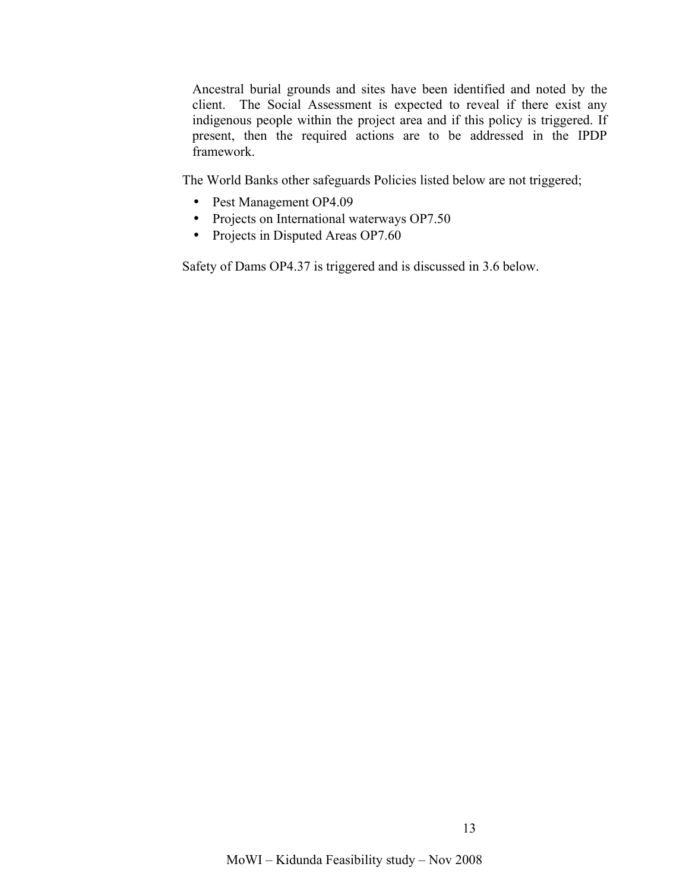Ancestral burial grounds and sites have been identified and noted by the client. The Social Assessment is expected to reveal if there exist any indigenous people within the project area and if this policy is triggered. If present, then the required actions are to be addressed in the IPDP framework.

The World Banks other safeguards Policies listed below are not triggered;

- Pest Management OP4.09
- Projects on International waterways OP7.50
- Projects in Disputed Areas OP7.60

Safety of Dams OP4.37 is triggered and is discussed in 3.6 below.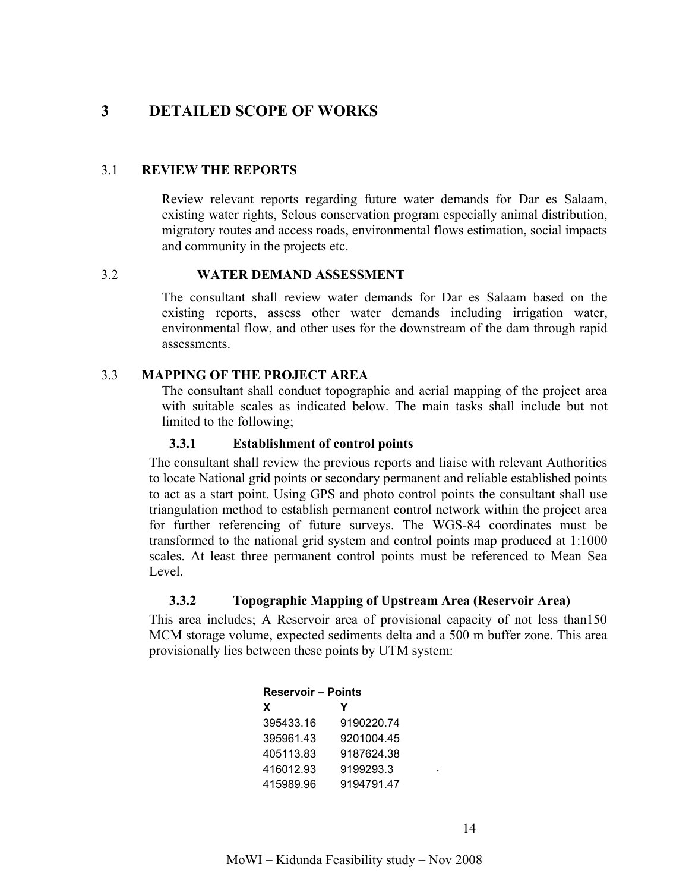# **3 DETAILED SCOPE OF WORKS**

#### 3.1 **REVIEW THE REPORTS**

Review relevant reports regarding future water demands for Dar es Salaam, existing water rights, Selous conservation program especially animal distribution, migratory routes and access roads, environmental flows estimation, social impacts and community in the projects etc.

#### 3.2 **WATER DEMAND ASSESSMENT**

The consultant shall review water demands for Dar es Salaam based on the existing reports, assess other water demands including irrigation water, environmental flow, and other uses for the downstream of the dam through rapid assessments.

#### 3.3 **MAPPING OF THE PROJECT AREA**

The consultant shall conduct topographic and aerial mapping of the project area with suitable scales as indicated below. The main tasks shall include but not limited to the following;

#### **3.3.1 Establishment of control points**

The consultant shall review the previous reports and liaise with relevant Authorities to locate National grid points or secondary permanent and reliable established points to act as a start point. Using GPS and photo control points the consultant shall use triangulation method to establish permanent control network within the project area for further referencing of future surveys. The WGS-84 coordinates must be transformed to the national grid system and control points map produced at 1:1000 scales. At least three permanent control points must be referenced to Mean Sea Level.

#### **3.3.2 Topographic Mapping of Upstream Area (Reservoir Area)**

This area includes; A Reservoir area of provisional capacity of not less than150 MCM storage volume, expected sediments delta and a 500 m buffer zone. This area provisionally lies between these points by UTM system:

| <b>Reservoir - Points</b> |            |  |  |
|---------------------------|------------|--|--|
| x                         | Υ          |  |  |
| 395433.16                 | 9190220.74 |  |  |
| 395961.43                 | 9201004.45 |  |  |
| 405113.83                 | 9187624.38 |  |  |
| 416012.93                 | 9199293.3  |  |  |
| 415989.96                 | 9194791.47 |  |  |

.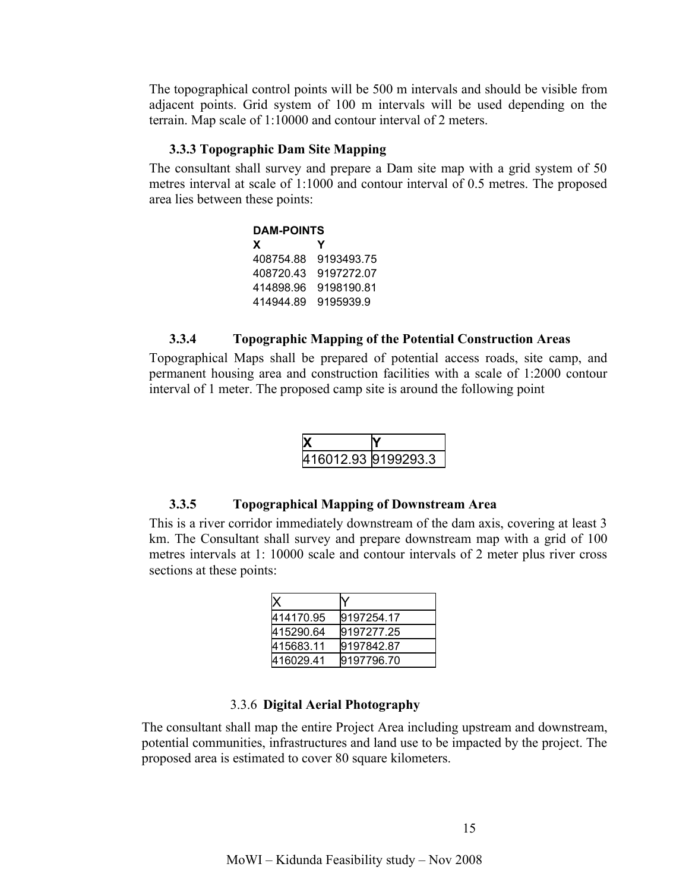The topographical control points will be 500 m intervals and should be visible from adjacent points. Grid system of 100 m intervals will be used depending on the terrain. Map scale of 1:10000 and contour interval of 2 meters.

#### **3.3.3 Topographic Dam Site Mapping**

The consultant shall survey and prepare a Dam site map with a grid system of 50 metres interval at scale of 1:1000 and contour interval of 0.5 metres. The proposed area lies between these points:

> **DAM-POINTS X Y** 408754.88 9193493.75 408720.43 9197272.07 414898.96 9198190.81 414944.89 9195939.9

#### **3.3.4 Topographic Mapping of the Potential Construction Areas**

Topographical Maps shall be prepared of potential access roads, site camp, and permanent housing area and construction facilities with a scale of 1:2000 contour interval of 1 meter. The proposed camp site is around the following point

#### **3.3.5 Topographical Mapping of Downstream Area**

This is a river corridor immediately downstream of the dam axis, covering at least 3 km. The Consultant shall survey and prepare downstream map with a grid of 100 metres intervals at 1: 10000 scale and contour intervals of 2 meter plus river cross sections at these points:

| 414170.95 | 9197254.17 |
|-----------|------------|
| 415290.64 | 9197277.25 |
| 415683.11 | 9197842.87 |
| 416029.41 | 9197796.70 |

#### 3.3.6 **Digital Aerial Photography**

The consultant shall map the entire Project Area including upstream and downstream, potential communities, infrastructures and land use to be impacted by the project. The proposed area is estimated to cover 80 square kilometers.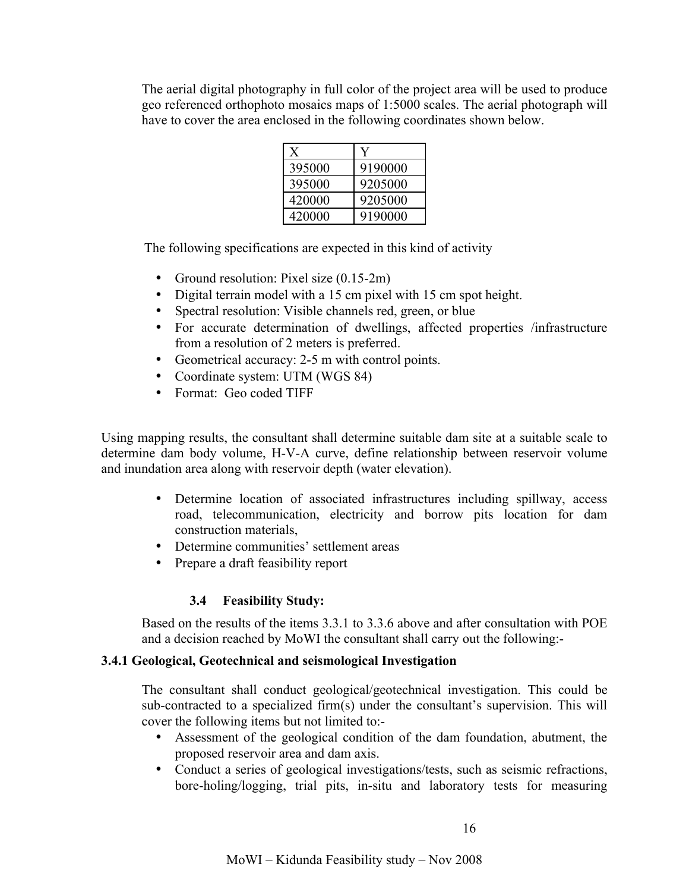The aerial digital photography in full color of the project area will be used to produce geo referenced orthophoto mosaics maps of 1:5000 scales. The aerial photograph will have to cover the area enclosed in the following coordinates shown below.

| X      | Y       |
|--------|---------|
| 395000 | 9190000 |
| 395000 | 9205000 |
| 420000 | 9205000 |
| 420000 | 9190000 |

The following specifications are expected in this kind of activity

- Ground resolution: Pixel size (0.15-2m)
- Digital terrain model with a 15 cm pixel with 15 cm spot height.
- Spectral resolution: Visible channels red, green, or blue
- For accurate determination of dwellings, affected properties /infrastructure from a resolution of 2 meters is preferred.
- Geometrical accuracy: 2-5 m with control points.
- Coordinate system: UTM (WGS 84)
- Format: Geo coded TIFF

Using mapping results, the consultant shall determine suitable dam site at a suitable scale to determine dam body volume, H-V-A curve, define relationship between reservoir volume and inundation area along with reservoir depth (water elevation).

- Determine location of associated infrastructures including spillway, access road, telecommunication, electricity and borrow pits location for dam construction materials,
- Determine communities' settlement areas
- Prepare a draft feasibility report

#### **3.4 Feasibility Study:**

Based on the results of the items 3.3.1 to 3.3.6 above and after consultation with POE and a decision reached by MoWI the consultant shall carry out the following:-

#### **3.4.1 Geological, Geotechnical and seismological Investigation**

The consultant shall conduct geological/geotechnical investigation. This could be sub-contracted to a specialized firm(s) under the consultant's supervision. This will cover the following items but not limited to:-

- Assessment of the geological condition of the dam foundation, abutment, the proposed reservoir area and dam axis.
- Conduct a series of geological investigations/tests, such as seismic refractions, bore-holing/logging, trial pits, in-situ and laboratory tests for measuring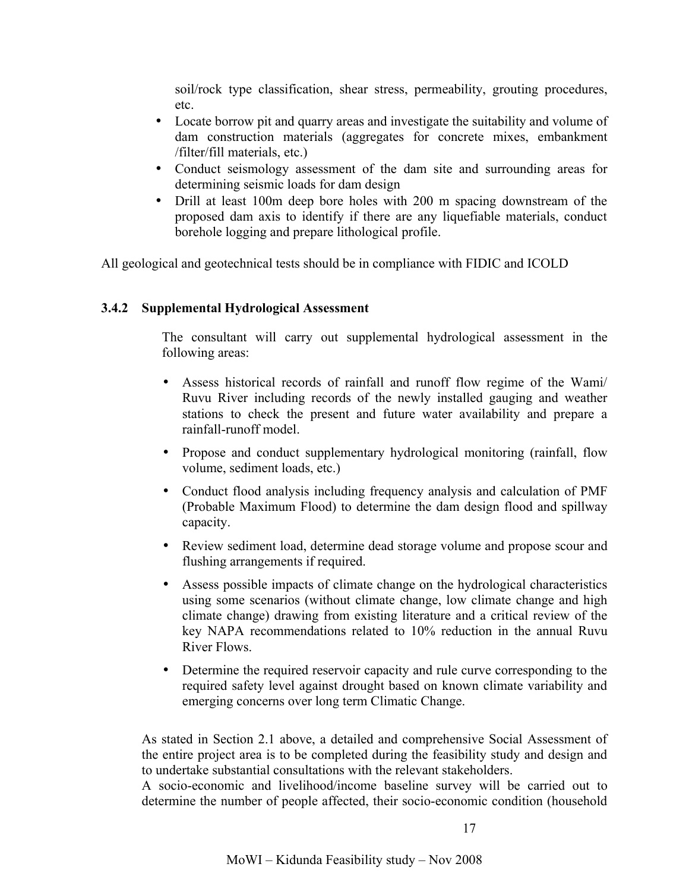soil/rock type classification, shear stress, permeability, grouting procedures, etc.

- Locate borrow pit and quarry areas and investigate the suitability and volume of dam construction materials (aggregates for concrete mixes, embankment /filter/fill materials, etc.)
- Conduct seismology assessment of the dam site and surrounding areas for determining seismic loads for dam design
- Drill at least 100m deep bore holes with 200 m spacing downstream of the proposed dam axis to identify if there are any liquefiable materials, conduct borehole logging and prepare lithological profile.

All geological and geotechnical tests should be in compliance with FIDIC and ICOLD

#### **3.4.2 Supplemental Hydrological Assessment**

The consultant will carry out supplemental hydrological assessment in the following areas:

- Assess historical records of rainfall and runoff flow regime of the Wami/ Ruvu River including records of the newly installed gauging and weather stations to check the present and future water availability and prepare a rainfall-runoff model.
- Propose and conduct supplementary hydrological monitoring (rainfall, flow volume, sediment loads, etc.)
- Conduct flood analysis including frequency analysis and calculation of PMF (Probable Maximum Flood) to determine the dam design flood and spillway capacity.
- Review sediment load, determine dead storage volume and propose scour and flushing arrangements if required.
- Assess possible impacts of climate change on the hydrological characteristics using some scenarios (without climate change, low climate change and high climate change) drawing from existing literature and a critical review of the key NAPA recommendations related to 10% reduction in the annual Ruvu River Flows.
- Determine the required reservoir capacity and rule curve corresponding to the required safety level against drought based on known climate variability and emerging concerns over long term Climatic Change.

As stated in Section 2.1 above, a detailed and comprehensive Social Assessment of the entire project area is to be completed during the feasibility study and design and to undertake substantial consultations with the relevant stakeholders.

A socio-economic and livelihood/income baseline survey will be carried out to determine the number of people affected, their socio-economic condition (household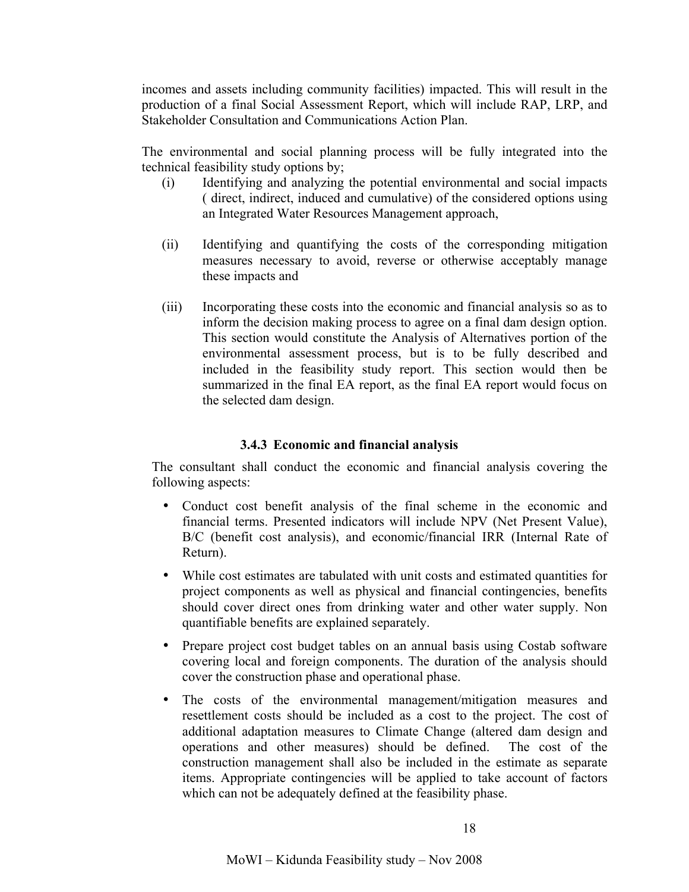incomes and assets including community facilities) impacted. This will result in the production of a final Social Assessment Report, which will include RAP, LRP, and Stakeholder Consultation and Communications Action Plan.

The environmental and social planning process will be fully integrated into the technical feasibility study options by;

- (i) Identifying and analyzing the potential environmental and social impacts ( direct, indirect, induced and cumulative) of the considered options using an Integrated Water Resources Management approach,
- (ii) Identifying and quantifying the costs of the corresponding mitigation measures necessary to avoid, reverse or otherwise acceptably manage these impacts and
- (iii) Incorporating these costs into the economic and financial analysis so as to inform the decision making process to agree on a final dam design option. This section would constitute the Analysis of Alternatives portion of the environmental assessment process, but is to be fully described and included in the feasibility study report. This section would then be summarized in the final EA report, as the final EA report would focus on the selected dam design.

#### **3.4.3 Economic and financial analysis**

The consultant shall conduct the economic and financial analysis covering the following aspects:

- Conduct cost benefit analysis of the final scheme in the economic and financial terms. Presented indicators will include NPV (Net Present Value), B/C (benefit cost analysis), and economic/financial IRR (Internal Rate of Return).
- While cost estimates are tabulated with unit costs and estimated quantities for project components as well as physical and financial contingencies, benefits should cover direct ones from drinking water and other water supply. Non quantifiable benefits are explained separately.
- Prepare project cost budget tables on an annual basis using Costab software covering local and foreign components. The duration of the analysis should cover the construction phase and operational phase.
- The costs of the environmental management/mitigation measures and resettlement costs should be included as a cost to the project. The cost of additional adaptation measures to Climate Change (altered dam design and operations and other measures) should be defined. The cost of the construction management shall also be included in the estimate as separate items. Appropriate contingencies will be applied to take account of factors which can not be adequately defined at the feasibility phase.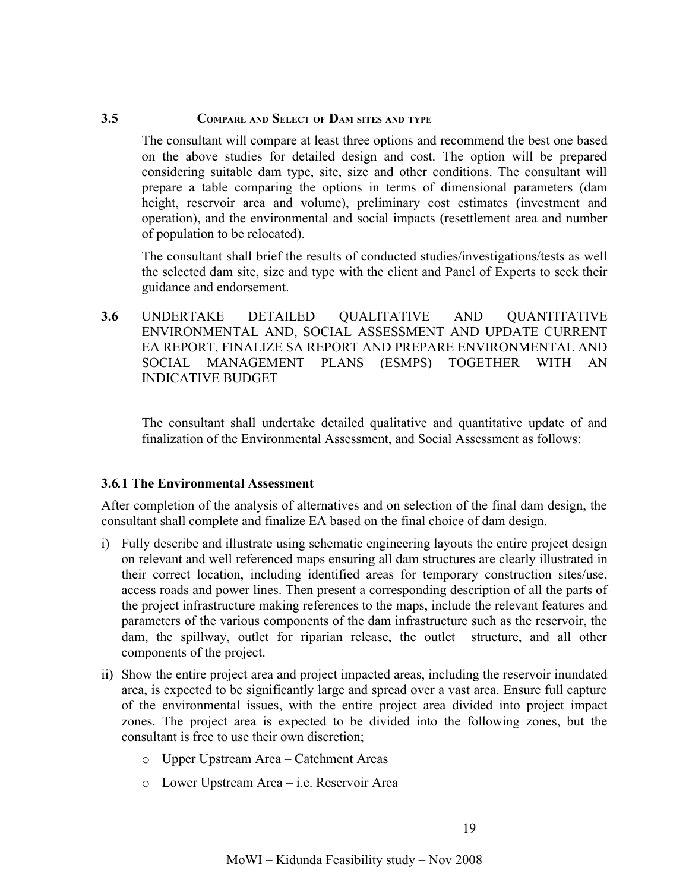#### **3.5 COMPARE AND SELECT OF DAM SITES AND TYPE**

The consultant will compare at least three options and recommend the best one based on the above studies for detailed design and cost. The option will be prepared considering suitable dam type, site, size and other conditions. The consultant will prepare a table comparing the options in terms of dimensional parameters (dam height, reservoir area and volume), preliminary cost estimates (investment and operation), and the environmental and social impacts (resettlement area and number of population to be relocated).

The consultant shall brief the results of conducted studies/investigations/tests as well the selected dam site, size and type with the client and Panel of Experts to seek their guidance and endorsement.

**3.6** UNDERTAKE DETAILED QUALITATIVE AND QUANTITATIVE ENVIRONMENTAL AND, SOCIAL ASSESSMENT AND UPDATE CURRENT EA REPORT, FINALIZE SA REPORT AND PREPARE ENVIRONMENTAL AND SOCIAL MANAGEMENT PLANS (ESMPS) TOGETHER WITH AN INDICATIVE BUDGET

The consultant shall undertake detailed qualitative and quantitative update of and finalization of the Environmental Assessment, and Social Assessment as follows:

#### **3.6***.***1 The Environmental Assessment**

After completion of the analysis of alternatives and on selection of the final dam design, the consultant shall complete and finalize EA based on the final choice of dam design.

- i) Fully describe and illustrate using schematic engineering layouts the entire project design on relevant and well referenced maps ensuring all dam structures are clearly illustrated in their correct location, including identified areas for temporary construction sites/use, access roads and power lines. Then present a corresponding description of all the parts of the project infrastructure making references to the maps, include the relevant features and parameters of the various components of the dam infrastructure such as the reservoir, the dam, the spillway, outlet for riparian release, the outlet structure, and all other components of the project.
- ii) Show the entire project area and project impacted areas, including the reservoir inundated area, is expected to be significantly large and spread over a vast area. Ensure full capture of the environmental issues, with the entire project area divided into project impact zones. The project area is expected to be divided into the following zones, but the consultant is free to use their own discretion;
	- o Upper Upstream Area Catchment Areas
	- o Lower Upstream Area i.e. Reservoir Area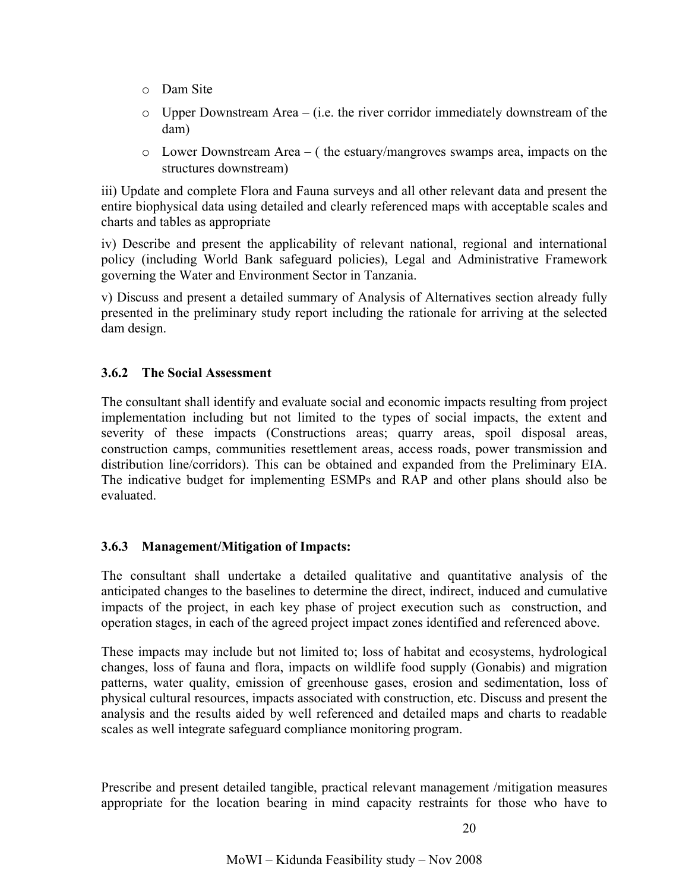- o Dam Site
- $\circ$  Upper Downstream Area (i.e. the river corridor immediately downstream of the dam)
- o Lower Downstream Area ( the estuary/mangroves swamps area, impacts on the structures downstream)

iii) Update and complete Flora and Fauna surveys and all other relevant data and present the entire biophysical data using detailed and clearly referenced maps with acceptable scales and charts and tables as appropriate

iv) Describe and present the applicability of relevant national, regional and international policy (including World Bank safeguard policies), Legal and Administrative Framework governing the Water and Environment Sector in Tanzania.

v) Discuss and present a detailed summary of Analysis of Alternatives section already fully presented in the preliminary study report including the rationale for arriving at the selected dam design.

#### **3.6.2 The Social Assessment**

The consultant shall identify and evaluate social and economic impacts resulting from project implementation including but not limited to the types of social impacts, the extent and severity of these impacts (Constructions areas; quarry areas, spoil disposal areas, construction camps, communities resettlement areas, access roads, power transmission and distribution line/corridors). This can be obtained and expanded from the Preliminary EIA. The indicative budget for implementing ESMPs and RAP and other plans should also be evaluated.

#### **3.6.3 Management/Mitigation of Impacts:**

The consultant shall undertake a detailed qualitative and quantitative analysis of the anticipated changes to the baselines to determine the direct, indirect, induced and cumulative impacts of the project, in each key phase of project execution such as construction, and operation stages, in each of the agreed project impact zones identified and referenced above.

These impacts may include but not limited to; loss of habitat and ecosystems, hydrological changes, loss of fauna and flora, impacts on wildlife food supply (Gonabis) and migration patterns, water quality, emission of greenhouse gases, erosion and sedimentation, loss of physical cultural resources, impacts associated with construction, etc. Discuss and present the analysis and the results aided by well referenced and detailed maps and charts to readable scales as well integrate safeguard compliance monitoring program.

Prescribe and present detailed tangible, practical relevant management /mitigation measures appropriate for the location bearing in mind capacity restraints for those who have to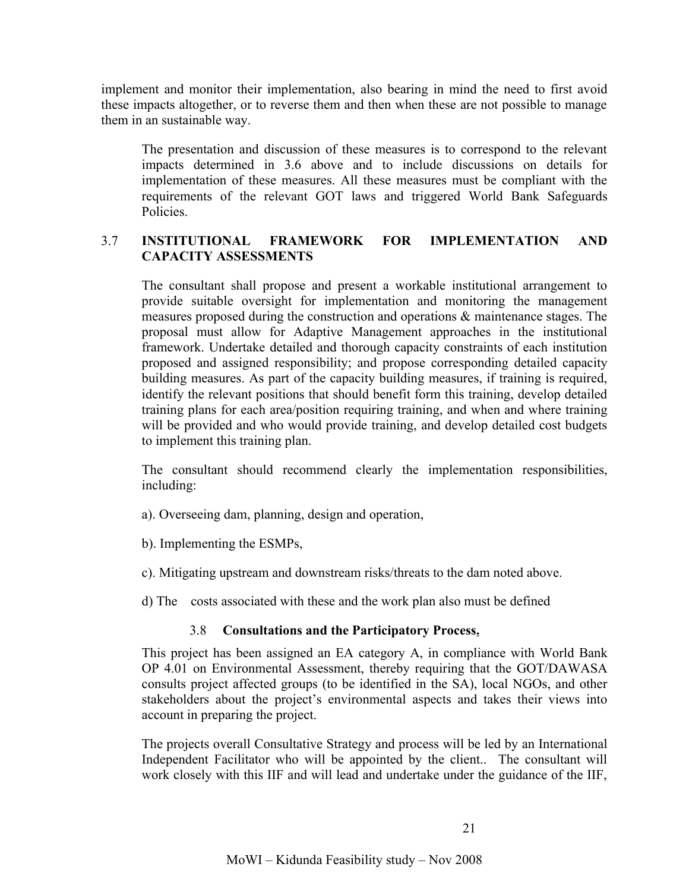implement and monitor their implementation, also bearing in mind the need to first avoid these impacts altogether, or to reverse them and then when these are not possible to manage them in an sustainable way.

The presentation and discussion of these measures is to correspond to the relevant impacts determined in 3.6 above and to include discussions on details for implementation of these measures. All these measures must be compliant with the requirements of the relevant GOT laws and triggered World Bank Safeguards Policies.

#### 3.7 **INSTITUTIONAL FRAMEWORK FOR IMPLEMENTATION AND CAPACITY ASSESSMENTS**

The consultant shall propose and present a workable institutional arrangement to provide suitable oversight for implementation and monitoring the management measures proposed during the construction and operations & maintenance stages. The proposal must allow for Adaptive Management approaches in the institutional framework. Undertake detailed and thorough capacity constraints of each institution proposed and assigned responsibility; and propose corresponding detailed capacity building measures. As part of the capacity building measures, if training is required, identify the relevant positions that should benefit form this training, develop detailed training plans for each area/position requiring training, and when and where training will be provided and who would provide training, and develop detailed cost budgets to implement this training plan.

The consultant should recommend clearly the implementation responsibilities, including:

- a). Overseeing dam, planning, design and operation,
- b). Implementing the ESMPs,
- c). Mitigating upstream and downstream risks/threats to the dam noted above.

d) The costs associated with these and the work plan also must be defined

#### 3.8 **Consultations and the Participatory Process.**

This project has been assigned an EA category A, in compliance with World Bank OP 4.01 on Environmental Assessment, thereby requiring that the GOT/DAWASA consults project affected groups (to be identified in the SA), local NGOs, and other stakeholders about the project's environmental aspects and takes their views into account in preparing the project.

The projects overall Consultative Strategy and process will be led by an International Independent Facilitator who will be appointed by the client.. The consultant will work closely with this IIF and will lead and undertake under the guidance of the IIF,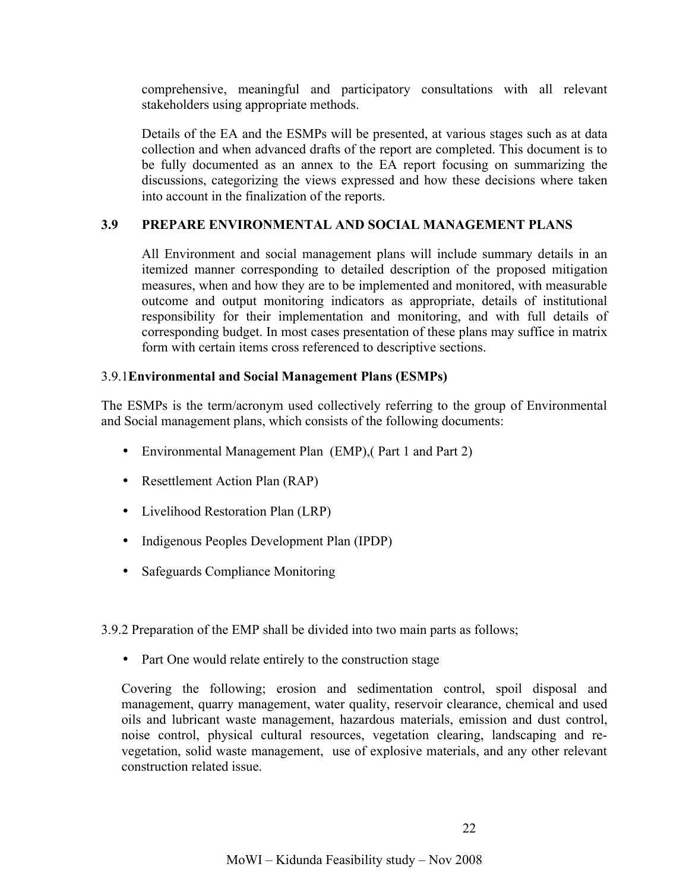comprehensive, meaningful and participatory consultations with all relevant stakeholders using appropriate methods.

Details of the EA and the ESMPs will be presented, at various stages such as at data collection and when advanced drafts of the report are completed. This document is to be fully documented as an annex to the EA report focusing on summarizing the discussions, categorizing the views expressed and how these decisions where taken into account in the finalization of the reports.

#### **3.9 PREPARE ENVIRONMENTAL AND SOCIAL MANAGEMENT PLANS**

All Environment and social management plans will include summary details in an itemized manner corresponding to detailed description of the proposed mitigation measures, when and how they are to be implemented and monitored, with measurable outcome and output monitoring indicators as appropriate, details of institutional responsibility for their implementation and monitoring, and with full details of corresponding budget. In most cases presentation of these plans may suffice in matrix form with certain items cross referenced to descriptive sections.

#### 3.9.1**Environmental and Social Management Plans (ESMPs)**

The ESMPs is the term/acronym used collectively referring to the group of Environmental and Social management plans, which consists of the following documents:

- Environmental Management Plan (EMP), (Part 1 and Part 2)
- Resettlement Action Plan (RAP)
- Livelihood Restoration Plan (LRP)
- Indigenous Peoples Development Plan (IPDP)
- Safeguards Compliance Monitoring

3.9.2 Preparation of the EMP shall be divided into two main parts as follows;

• Part One would relate entirely to the construction stage

Covering the following; erosion and sedimentation control, spoil disposal and management, quarry management, water quality, reservoir clearance, chemical and used oils and lubricant waste management, hazardous materials, emission and dust control, noise control, physical cultural resources, vegetation clearing, landscaping and revegetation, solid waste management, use of explosive materials, and any other relevant construction related issue.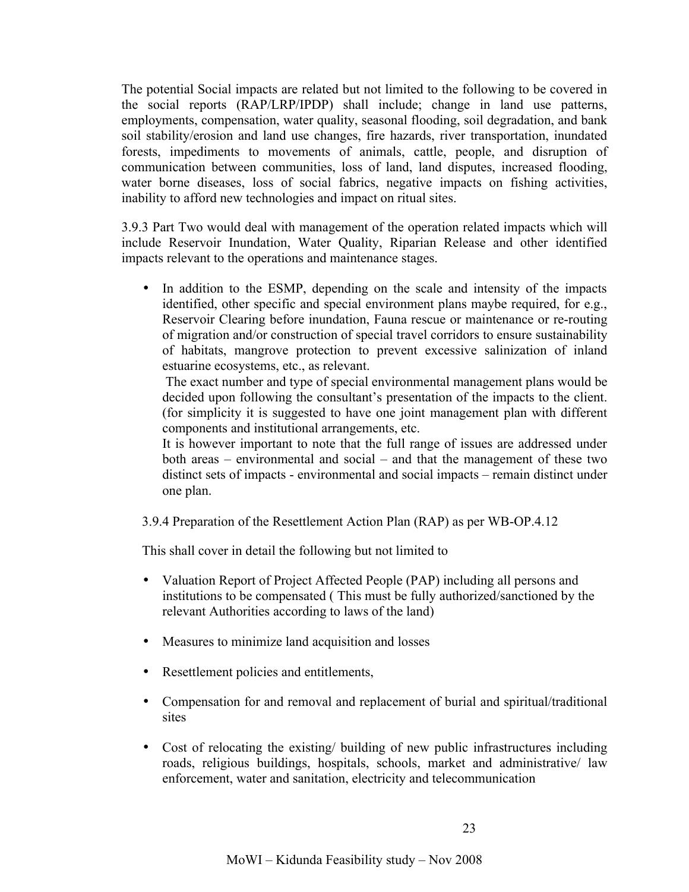The potential Social impacts are related but not limited to the following to be covered in the social reports (RAP/LRP/IPDP) shall include; change in land use patterns, employments, compensation, water quality, seasonal flooding, soil degradation, and bank soil stability/erosion and land use changes, fire hazards, river transportation, inundated forests, impediments to movements of animals, cattle, people, and disruption of communication between communities, loss of land, land disputes, increased flooding, water borne diseases, loss of social fabrics, negative impacts on fishing activities, inability to afford new technologies and impact on ritual sites.

3.9.3 Part Two would deal with management of the operation related impacts which will include Reservoir Inundation, Water Quality, Riparian Release and other identified impacts relevant to the operations and maintenance stages.

• In addition to the ESMP, depending on the scale and intensity of the impacts identified, other specific and special environment plans maybe required, for e.g., Reservoir Clearing before inundation, Fauna rescue or maintenance or re-routing of migration and/or construction of special travel corridors to ensure sustainability of habitats, mangrove protection to prevent excessive salinization of inland estuarine ecosystems, etc., as relevant.

The exact number and type of special environmental management plans would be decided upon following the consultant's presentation of the impacts to the client. (for simplicity it is suggested to have one joint management plan with different components and institutional arrangements, etc.

It is however important to note that the full range of issues are addressed under both areas – environmental and social – and that the management of these two distinct sets of impacts - environmental and social impacts – remain distinct under one plan.

3.9.4 Preparation of the Resettlement Action Plan (RAP) as per WB-OP.4.12

This shall cover in detail the following but not limited to

- Valuation Report of Project Affected People (PAP) including all persons and institutions to be compensated ( This must be fully authorized/sanctioned by the relevant Authorities according to laws of the land)
- Measures to minimize land acquisition and losses
- Resettlement policies and entitlements,
- Compensation for and removal and replacement of burial and spiritual/traditional sites
- Cost of relocating the existing/ building of new public infrastructures including roads, religious buildings, hospitals, schools, market and administrative/ law enforcement, water and sanitation, electricity and telecommunication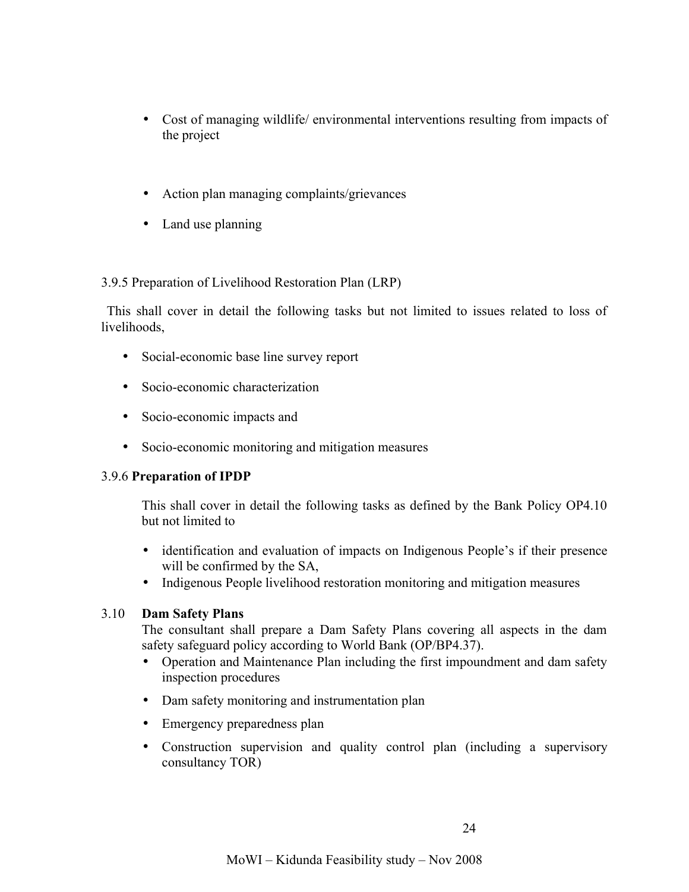- Cost of managing wildlife/ environmental interventions resulting from impacts of the project
- Action plan managing complaints/grievances
- Land use planning

#### 3.9.5 Preparation of Livelihood Restoration Plan (LRP)

This shall cover in detail the following tasks but not limited to issues related to loss of livelihoods,

- Social-economic base line survey report
- Socio-economic characterization
- Socio-economic impacts and
- Socio-economic monitoring and mitigation measures

#### 3.9.6 **Preparation of IPDP**

This shall cover in detail the following tasks as defined by the Bank Policy OP4.10 but not limited to

- identification and evaluation of impacts on Indigenous People's if their presence will be confirmed by the SA,
- Indigenous People livelihood restoration monitoring and mitigation measures

#### 3.10 **Dam Safety Plans**

The consultant shall prepare a Dam Safety Plans covering all aspects in the dam safety safeguard policy according to World Bank (OP/BP4.37).

- Operation and Maintenance Plan including the first impoundment and dam safety inspection procedures
- Dam safety monitoring and instrumentation plan
- Emergency preparedness plan
- Construction supervision and quality control plan (including a supervisory consultancy TOR)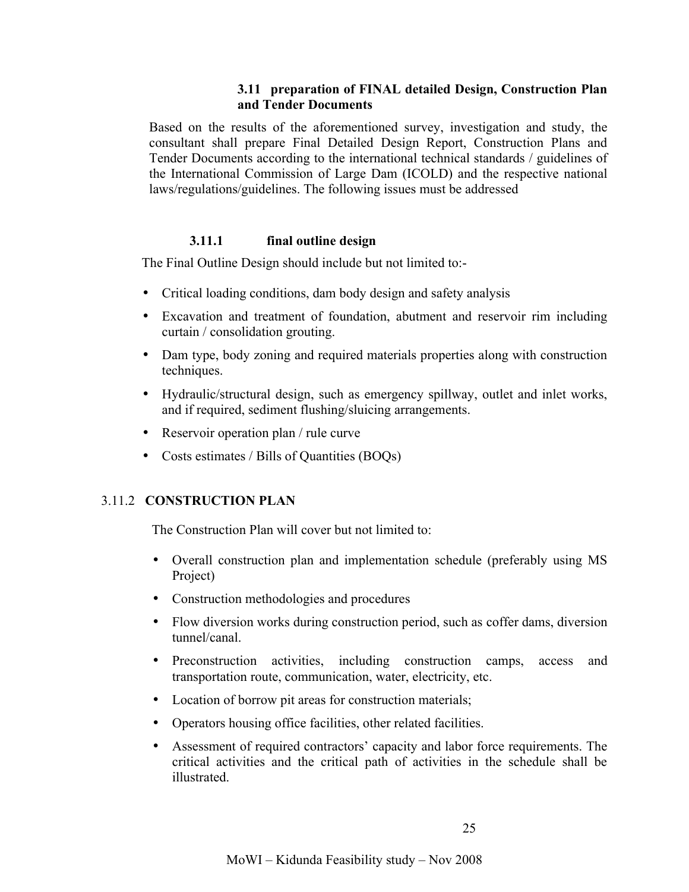#### **3.11 preparation of FINAL detailed Design, Construction Plan and Tender Documents**

Based on the results of the aforementioned survey, investigation and study, the consultant shall prepare Final Detailed Design Report, Construction Plans and Tender Documents according to the international technical standards / guidelines of the International Commission of Large Dam (ICOLD) and the respective national laws/regulations/guidelines. The following issues must be addressed

#### **3.11.1 final outline design**

The Final Outline Design should include but not limited to:-

- Critical loading conditions, dam body design and safety analysis
- Excavation and treatment of foundation, abutment and reservoir rim including curtain / consolidation grouting.
- Dam type, body zoning and required materials properties along with construction techniques.
- Hydraulic/structural design, such as emergency spillway, outlet and inlet works, and if required, sediment flushing/sluicing arrangements.
- Reservoir operation plan / rule curve
- Costs estimates / Bills of Quantities (BOQs)

#### 3.11.2 **CONSTRUCTION PLAN**

The Construction Plan will cover but not limited to:

- Overall construction plan and implementation schedule (preferably using MS Project)
- Construction methodologies and procedures
- Flow diversion works during construction period, such as coffer dams, diversion tunnel/canal.
- Preconstruction activities, including construction camps, access and transportation route, communication, water, electricity, etc.
- Location of borrow pit areas for construction materials;
- Operators housing office facilities, other related facilities.
- Assessment of required contractors' capacity and labor force requirements. The critical activities and the critical path of activities in the schedule shall be illustrated.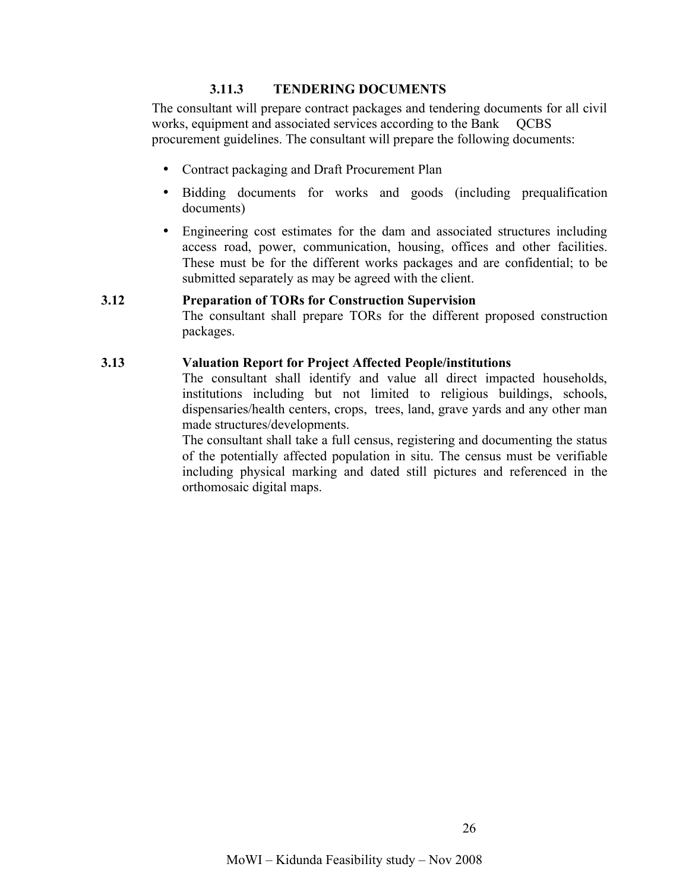#### **3.11.3 TENDERING DOCUMENTS**

The consultant will prepare contract packages and tendering documents for all civil works, equipment and associated services according to the Bank QCBS procurement guidelines. The consultant will prepare the following documents:

- Contract packaging and Draft Procurement Plan
- Bidding documents for works and goods (including prequalification documents)
- Engineering cost estimates for the dam and associated structures including access road, power, communication, housing, offices and other facilities. These must be for the different works packages and are confidential; to be submitted separately as may be agreed with the client.

#### **3.12 Preparation of TORs for Construction Supervision**

The consultant shall prepare TORs for the different proposed construction packages.

#### **3.13 Valuation Report for Project Affected People/institutions**

The consultant shall identify and value all direct impacted households, institutions including but not limited to religious buildings, schools, dispensaries/health centers, crops, trees, land, grave yards and any other man made structures/developments.

The consultant shall take a full census, registering and documenting the status of the potentially affected population in situ. The census must be verifiable including physical marking and dated still pictures and referenced in the orthomosaic digital maps.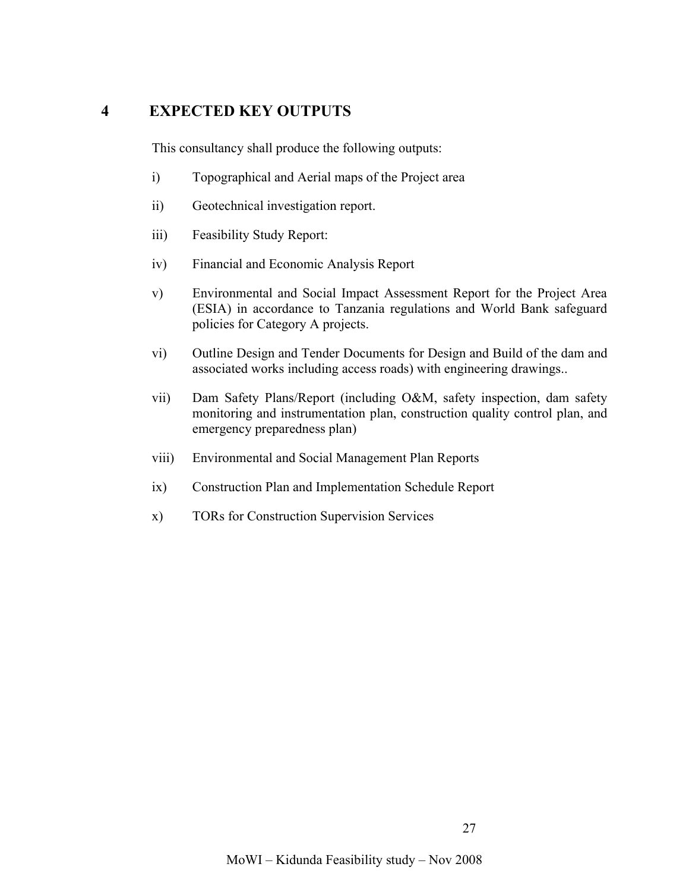# **4 EXPECTED KEY OUTPUTS**

This consultancy shall produce the following outputs:

- i) Topographical and Aerial maps of the Project area
- ii) Geotechnical investigation report.
- iii) Feasibility Study Report:
- iv) Financial and Economic Analysis Report
- v) Environmental and Social Impact Assessment Report for the Project Area (ESIA) in accordance to Tanzania regulations and World Bank safeguard policies for Category A projects.
- vi) Outline Design and Tender Documents for Design and Build of the dam and associated works including access roads) with engineering drawings..
- vii) Dam Safety Plans/Report (including O&M, safety inspection, dam safety monitoring and instrumentation plan, construction quality control plan, and emergency preparedness plan)
- viii) Environmental and Social Management Plan Reports
- ix) Construction Plan and Implementation Schedule Report
- x) TORs for Construction Supervision Services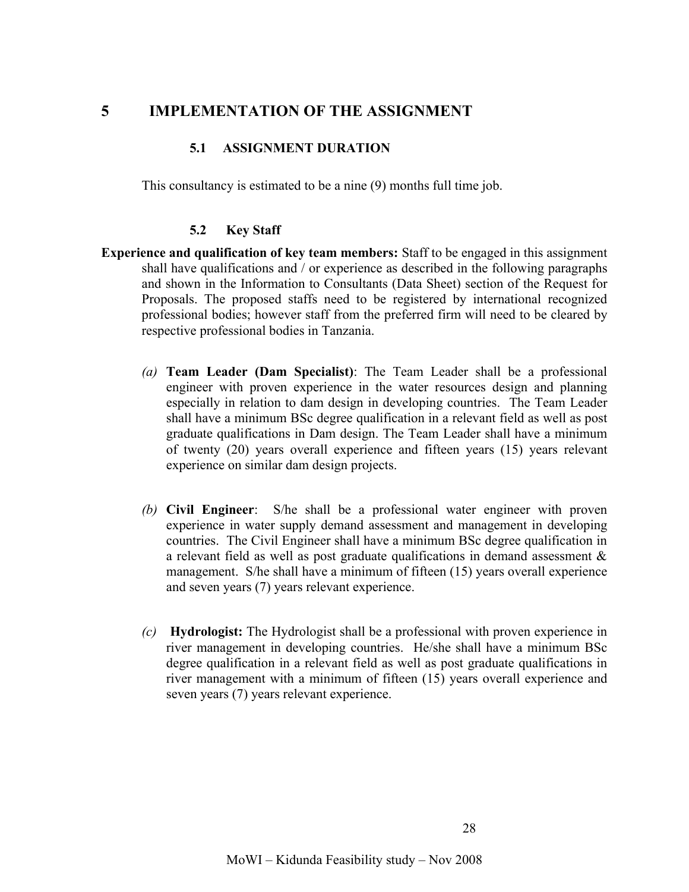# **5 IMPLEMENTATION OF THE ASSIGNMENT**

#### **5.1 ASSIGNMENT DURATION**

This consultancy is estimated to be a nine (9) months full time job.

#### **5.2 Key Staff**

- **Experience and qualification of key team members:** Staff to be engaged in this assignment shall have qualifications and / or experience as described in the following paragraphs and shown in the Information to Consultants (Data Sheet) section of the Request for Proposals. The proposed staffs need to be registered by international recognized professional bodies; however staff from the preferred firm will need to be cleared by respective professional bodies in Tanzania.
	- *(a)* **Team Leader (Dam Specialist)**: The Team Leader shall be a professional engineer with proven experience in the water resources design and planning especially in relation to dam design in developing countries. The Team Leader shall have a minimum BSc degree qualification in a relevant field as well as post graduate qualifications in Dam design. The Team Leader shall have a minimum of twenty (20) years overall experience and fifteen years (15) years relevant experience on similar dam design projects.
	- *(b)* **Civil Engineer**: S/he shall be a professional water engineer with proven experience in water supply demand assessment and management in developing countries. The Civil Engineer shall have a minimum BSc degree qualification in a relevant field as well as post graduate qualifications in demand assessment & management. S/he shall have a minimum of fifteen (15) years overall experience and seven years (7) years relevant experience.
	- *(c)* **Hydrologist:** The Hydrologist shall be a professional with proven experience in river management in developing countries. He/she shall have a minimum BSc degree qualification in a relevant field as well as post graduate qualifications in river management with a minimum of fifteen (15) years overall experience and seven years (7) years relevant experience.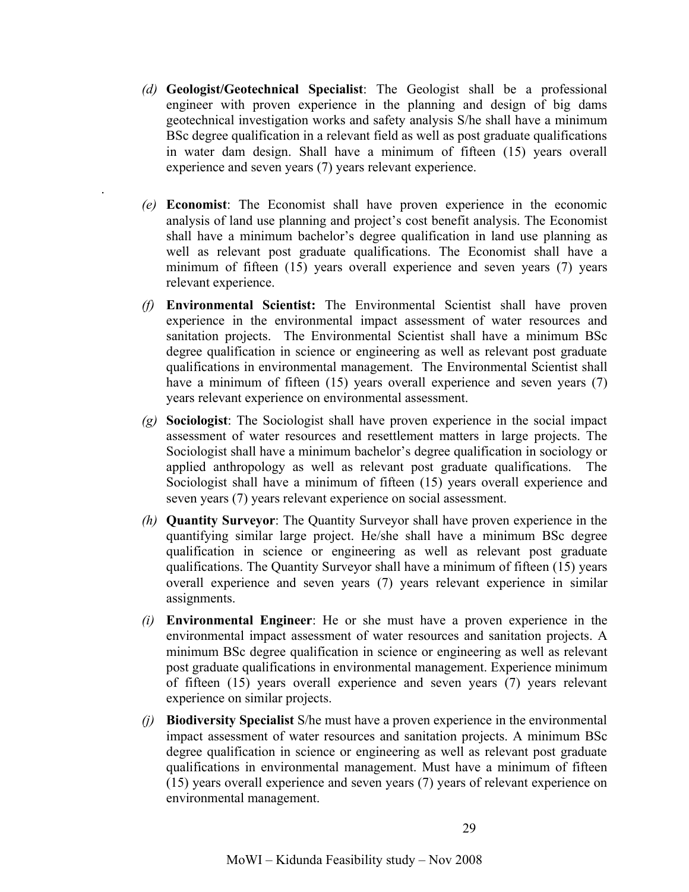- *(d)* **Geologist/Geotechnical Specialist**: The Geologist shall be a professional engineer with proven experience in the planning and design of big dams geotechnical investigation works and safety analysis S/he shall have a minimum BSc degree qualification in a relevant field as well as post graduate qualifications in water dam design. Shall have a minimum of fifteen (15) years overall experience and seven years (7) years relevant experience.
- *(e)* **Economist**: The Economist shall have proven experience in the economic analysis of land use planning and project's cost benefit analysis. The Economist shall have a minimum bachelor's degree qualification in land use planning as well as relevant post graduate qualifications. The Economist shall have a minimum of fifteen (15) years overall experience and seven years (7) years relevant experience.

.

- *(f)* **Environmental Scientist:** The Environmental Scientist shall have proven experience in the environmental impact assessment of water resources and sanitation projects. The Environmental Scientist shall have a minimum BSc degree qualification in science or engineering as well as relevant post graduate qualifications in environmental management. The Environmental Scientist shall have a minimum of fifteen (15) years overall experience and seven years (7) years relevant experience on environmental assessment.
- *(g)* **Sociologist**: The Sociologist shall have proven experience in the social impact assessment of water resources and resettlement matters in large projects. The Sociologist shall have a minimum bachelor's degree qualification in sociology or applied anthropology as well as relevant post graduate qualifications. The Sociologist shall have a minimum of fifteen (15) years overall experience and seven years (7) years relevant experience on social assessment.
- *(h)* **Quantity Surveyor**: The Quantity Surveyor shall have proven experience in the quantifying similar large project. He/she shall have a minimum BSc degree qualification in science or engineering as well as relevant post graduate qualifications. The Quantity Surveyor shall have a minimum of fifteen (15) years overall experience and seven years (7) years relevant experience in similar assignments.
- *(i)* **Environmental Engineer**: He or she must have a proven experience in the environmental impact assessment of water resources and sanitation projects. A minimum BSc degree qualification in science or engineering as well as relevant post graduate qualifications in environmental management. Experience minimum of fifteen (15) years overall experience and seven years (7) years relevant experience on similar projects.
- *(j)* **Biodiversity Specialist** S/he must have a proven experience in the environmental impact assessment of water resources and sanitation projects. A minimum BSc degree qualification in science or engineering as well as relevant post graduate qualifications in environmental management. Must have a minimum of fifteen (15) years overall experience and seven years (7) years of relevant experience on environmental management.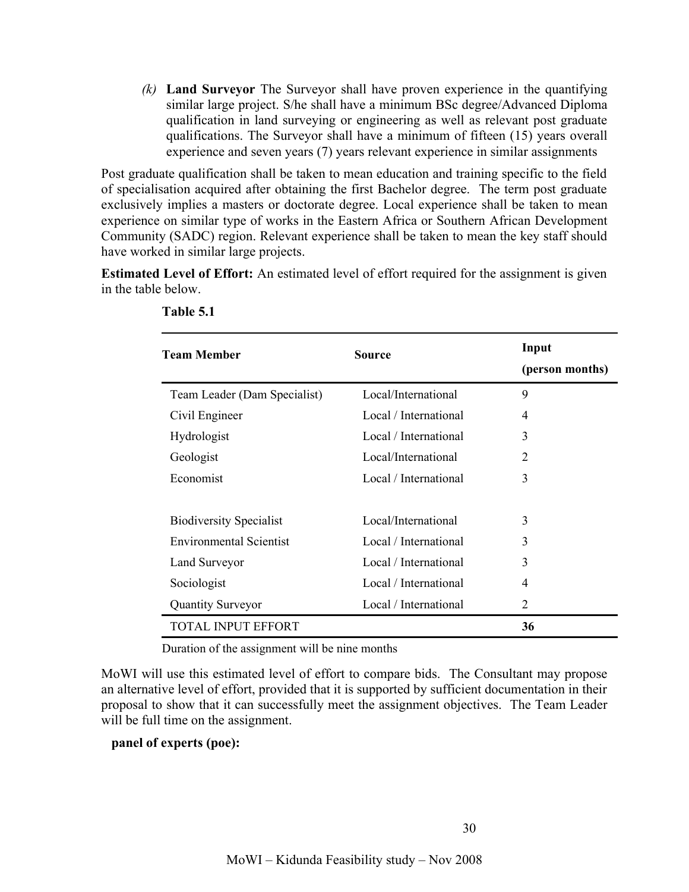*(k)* **Land Surveyor** The Surveyor shall have proven experience in the quantifying similar large project. S/he shall have a minimum BSc degree/Advanced Diploma qualification in land surveying or engineering as well as relevant post graduate qualifications. The Surveyor shall have a minimum of fifteen (15) years overall experience and seven years (7) years relevant experience in similar assignments

Post graduate qualification shall be taken to mean education and training specific to the field of specialisation acquired after obtaining the first Bachelor degree. The term post graduate exclusively implies a masters or doctorate degree. Local experience shall be taken to mean experience on similar type of works in the Eastern Africa or Southern African Development Community (SADC) region. Relevant experience shall be taken to mean the key staff should have worked in similar large projects.

**Estimated Level of Effort:** An estimated level of effort required for the assignment is given in the table below.

| <b>Team Member</b>             | <b>Source</b>         | Input           |
|--------------------------------|-----------------------|-----------------|
|                                |                       | (person months) |
| Team Leader (Dam Specialist)   | Local/International   | 9               |
| Civil Engineer                 | Local / International | 4               |
| Hydrologist                    | Local / International | 3               |
| Geologist                      | Local/International   | 2               |
| Economist                      | Local / International | 3               |
| <b>Biodiversity Specialist</b> | Local/International   | 3               |
| <b>Environmental Scientist</b> | Local / International | 3               |
| Land Surveyor                  | Local / International | 3               |
| Sociologist                    | Local / International | 4               |
| <b>Quantity Surveyor</b>       | Local / International | 2               |
| TOTAL INPUT EFFORT             |                       | 36              |

| <b>Table 5.1</b> |  |
|------------------|--|
|                  |  |

Duration of the assignment will be nine months

MoWI will use this estimated level of effort to compare bids. The Consultant may propose an alternative level of effort, provided that it is supported by sufficient documentation in their proposal to show that it can successfully meet the assignment objectives. The Team Leader will be full time on the assignment.

#### **panel of experts (poe):**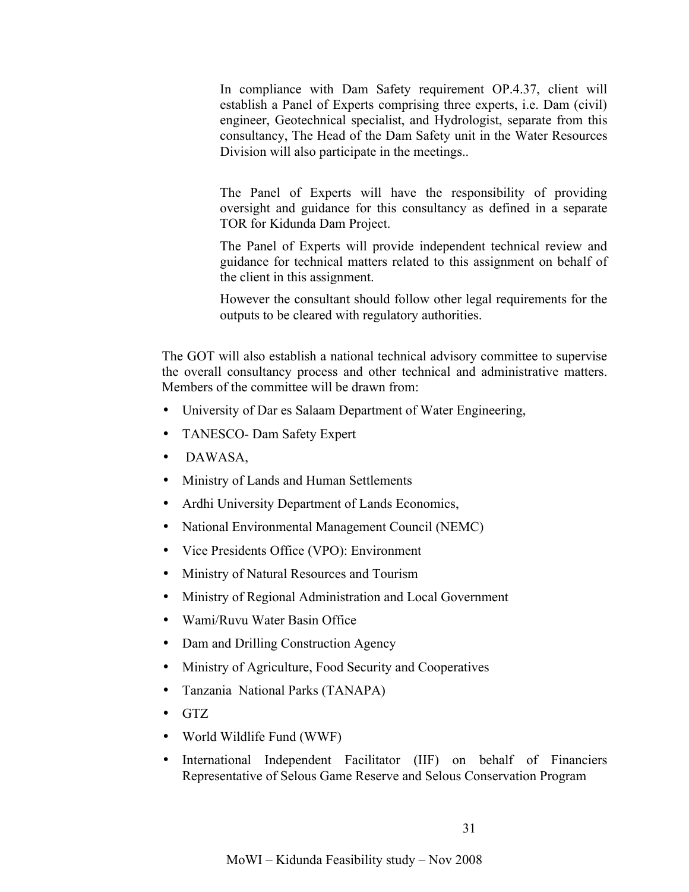In compliance with Dam Safety requirement OP.4.37, client will establish a Panel of Experts comprising three experts, i.e. Dam (civil) engineer, Geotechnical specialist, and Hydrologist, separate from this consultancy, The Head of the Dam Safety unit in the Water Resources Division will also participate in the meetings..

The Panel of Experts will have the responsibility of providing oversight and guidance for this consultancy as defined in a separate TOR for Kidunda Dam Project.

The Panel of Experts will provide independent technical review and guidance for technical matters related to this assignment on behalf of the client in this assignment.

However the consultant should follow other legal requirements for the outputs to be cleared with regulatory authorities.

The GOT will also establish a national technical advisory committee to supervise the overall consultancy process and other technical and administrative matters. Members of the committee will be drawn from:

- University of Dar es Salaam Department of Water Engineering,
- TANESCO- Dam Safety Expert
- DAWASA,
- Ministry of Lands and Human Settlements
- Ardhi University Department of Lands Economics,
- National Environmental Management Council (NEMC)
- Vice Presidents Office (VPO): Environment
- Ministry of Natural Resources and Tourism
- Ministry of Regional Administration and Local Government
- Wami/Ruvu Water Basin Office
- Dam and Drilling Construction Agency
- Ministry of Agriculture, Food Security and Cooperatives
- Tanzania National Parks (TANAPA)
- GTZ
- World Wildlife Fund (WWF)
- International Independent Facilitator (IIF) on behalf of Financiers Representative of Selous Game Reserve and Selous Conservation Program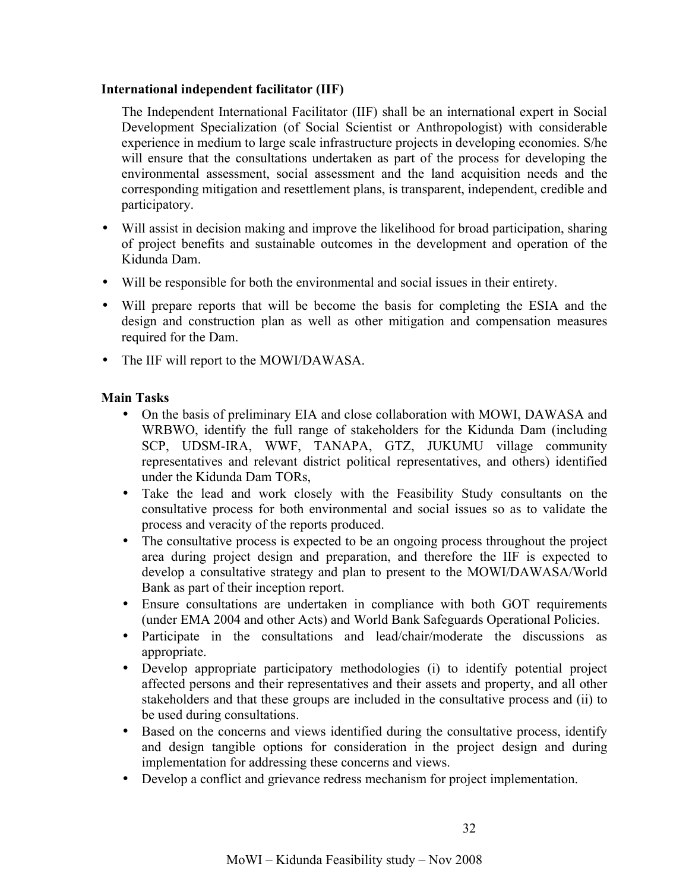#### **International independent facilitator (IIF)**

The Independent International Facilitator (IIF) shall be an international expert in Social Development Specialization (of Social Scientist or Anthropologist) with considerable experience in medium to large scale infrastructure projects in developing economies. S/he will ensure that the consultations undertaken as part of the process for developing the environmental assessment, social assessment and the land acquisition needs and the corresponding mitigation and resettlement plans, is transparent, independent, credible and participatory.

- Will assist in decision making and improve the likelihood for broad participation, sharing of project benefits and sustainable outcomes in the development and operation of the Kidunda Dam.
- Will be responsible for both the environmental and social issues in their entirety.
- Will prepare reports that will be become the basis for completing the ESIA and the design and construction plan as well as other mitigation and compensation measures required for the Dam.
- The IIF will report to the MOWI/DAWASA.

#### **Main Tasks**

- On the basis of preliminary EIA and close collaboration with MOWI, DAWASA and WRBWO, identify the full range of stakeholders for the Kidunda Dam (including SCP, UDSM-IRA, WWF, TANAPA, GTZ, JUKUMU village community representatives and relevant district political representatives, and others) identified under the Kidunda Dam TORs,
- Take the lead and work closely with the Feasibility Study consultants on the consultative process for both environmental and social issues so as to validate the process and veracity of the reports produced.
- The consultative process is expected to be an ongoing process throughout the project area during project design and preparation, and therefore the IIF is expected to develop a consultative strategy and plan to present to the MOWI/DAWASA/World Bank as part of their inception report.
- Ensure consultations are undertaken in compliance with both GOT requirements (under EMA 2004 and other Acts) and World Bank Safeguards Operational Policies.
- Participate in the consultations and lead/chair/moderate the discussions as appropriate.
- Develop appropriate participatory methodologies (i) to identify potential project affected persons and their representatives and their assets and property, and all other stakeholders and that these groups are included in the consultative process and (ii) to be used during consultations.
- Based on the concerns and views identified during the consultative process, identify and design tangible options for consideration in the project design and during implementation for addressing these concerns and views.
- Develop a conflict and grievance redress mechanism for project implementation.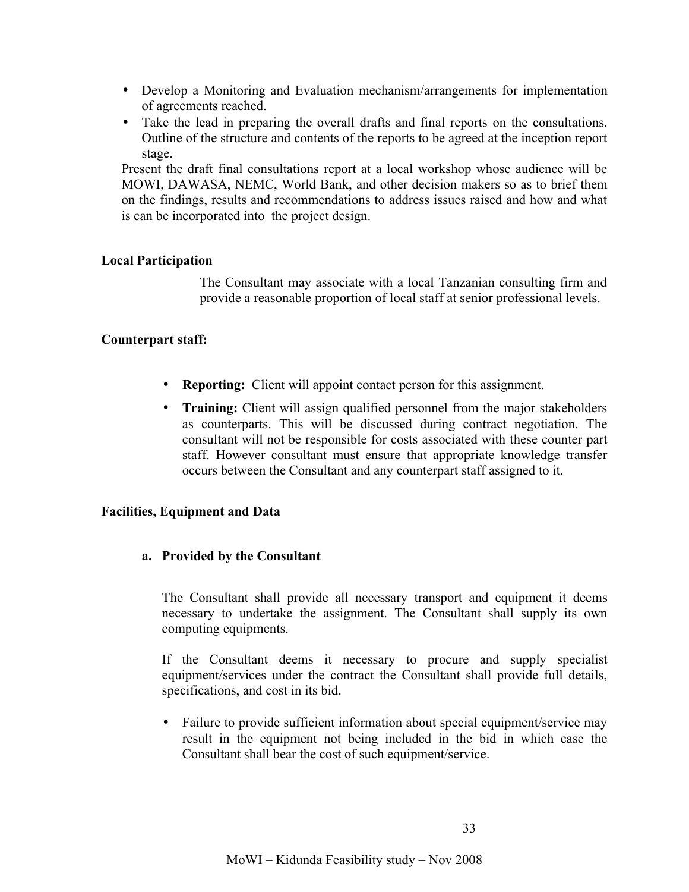- Develop a Monitoring and Evaluation mechanism/arrangements for implementation of agreements reached.
- Take the lead in preparing the overall drafts and final reports on the consultations. Outline of the structure and contents of the reports to be agreed at the inception report stage.

Present the draft final consultations report at a local workshop whose audience will be MOWI, DAWASA, NEMC, World Bank, and other decision makers so as to brief them on the findings, results and recommendations to address issues raised and how and what is can be incorporated into the project design.

#### **Local Participation**

The Consultant may associate with a local Tanzanian consulting firm and provide a reasonable proportion of local staff at senior professional levels.

#### **Counterpart staff:**

- **Reporting:** Client will appoint contact person for this assignment.
- **Training:** Client will assign qualified personnel from the major stakeholders as counterparts. This will be discussed during contract negotiation. The consultant will not be responsible for costs associated with these counter part staff. However consultant must ensure that appropriate knowledge transfer occurs between the Consultant and any counterpart staff assigned to it.

#### **Facilities, Equipment and Data**

#### **a. Provided by the Consultant**

The Consultant shall provide all necessary transport and equipment it deems necessary to undertake the assignment. The Consultant shall supply its own computing equipments.

If the Consultant deems it necessary to procure and supply specialist equipment/services under the contract the Consultant shall provide full details, specifications, and cost in its bid.

• Failure to provide sufficient information about special equipment/service may result in the equipment not being included in the bid in which case the Consultant shall bear the cost of such equipment/service.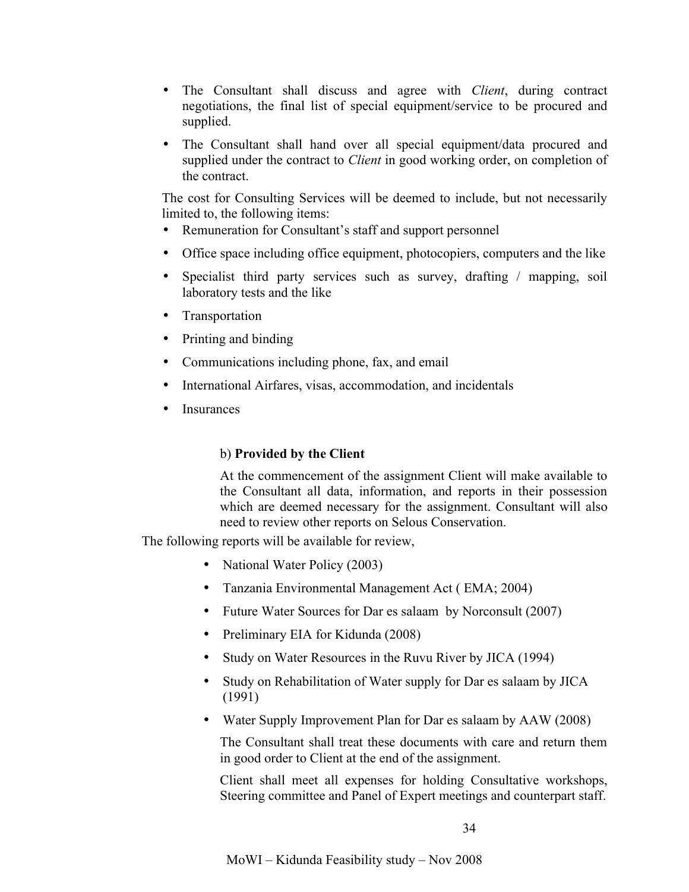- The Consultant shall discuss and agree with *Client*, during contract negotiations, the final list of special equipment/service to be procured and supplied.
- The Consultant shall hand over all special equipment/data procured and supplied under the contract to *Client* in good working order, on completion of the contract.

The cost for Consulting Services will be deemed to include, but not necessarily limited to, the following items:

- Remuneration for Consultant's staff and support personnel
- Office space including office equipment, photocopiers, computers and the like
- Specialist third party services such as survey, drafting / mapping, soil laboratory tests and the like
- Transportation
- Printing and binding
- Communications including phone, fax, and email
- International Airfares, visas, accommodation, and incidentals
- Insurances

#### b) **Provided by the Client**

At the commencement of the assignment Client will make available to the Consultant all data, information, and reports in their possession which are deemed necessary for the assignment. Consultant will also need to review other reports on Selous Conservation.

The following reports will be available for review,

- National Water Policy (2003)
- Tanzania Environmental Management Act ( EMA; 2004)
- Future Water Sources for Dar es salaam by Norconsult (2007)
- Preliminary EIA for Kidunda (2008)
- Study on Water Resources in the Ruvu River by JICA (1994)
- Study on Rehabilitation of Water supply for Dar es salaam by JICA (1991)
- Water Supply Improvement Plan for Dar es salaam by AAW (2008)

The Consultant shall treat these documents with care and return them in good order to Client at the end of the assignment.

Client shall meet all expenses for holding Consultative workshops, Steering committee and Panel of Expert meetings and counterpart staff.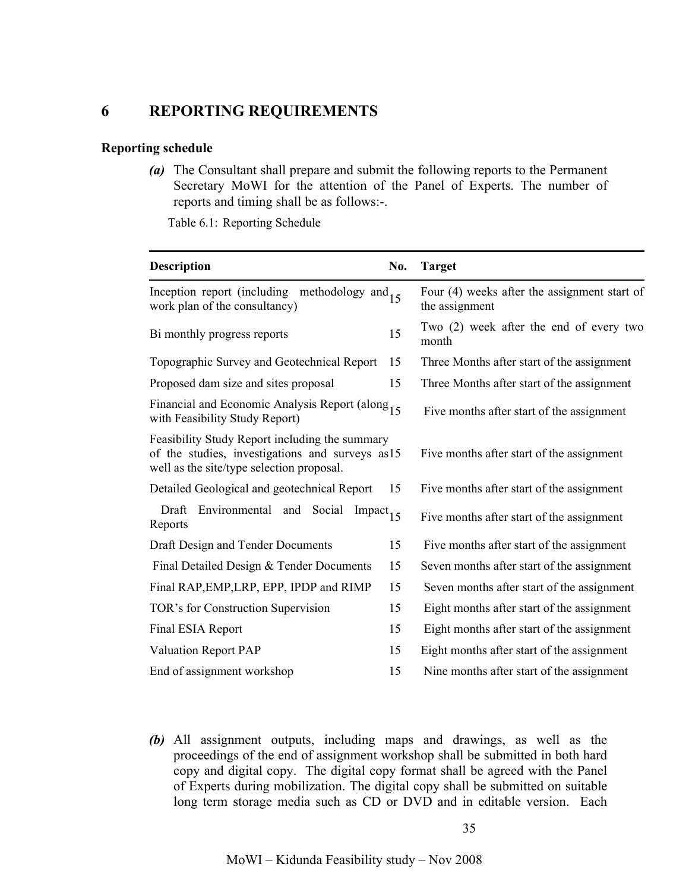#### **6 REPORTING REQUIREMENTS**

#### **Reporting schedule**

*(a)* The Consultant shall prepare and submit the following reports to the Permanent Secretary MoWI for the attention of the Panel of Experts. The number of reports and timing shall be as follows:-.

Table 6.1: Reporting Schedule

| <b>Description</b>                                                                                                                             | No. | <b>Target</b>                                                  |
|------------------------------------------------------------------------------------------------------------------------------------------------|-----|----------------------------------------------------------------|
| Inception report (including methodology and $15$<br>work plan of the consultancy)                                                              |     | Four (4) weeks after the assignment start of<br>the assignment |
| Bi monthly progress reports                                                                                                                    | 15  | Two (2) week after the end of every two<br>month               |
| Topographic Survey and Geotechnical Report                                                                                                     | 15  | Three Months after start of the assignment                     |
| Proposed dam size and sites proposal                                                                                                           | 15  | Three Months after start of the assignment                     |
| Financial and Economic Analysis Report (along <sub>15</sub> )<br>with Feasibility Study Report)                                                |     | Five months after start of the assignment                      |
| Feasibility Study Report including the summary<br>of the studies, investigations and surveys as15<br>well as the site/type selection proposal. |     | Five months after start of the assignment                      |
| Detailed Geological and geotechnical Report                                                                                                    | 15  | Five months after start of the assignment                      |
| Draft Environmental and Social Impact <sub>15</sub><br>Reports                                                                                 |     | Five months after start of the assignment                      |
| Draft Design and Tender Documents                                                                                                              | 15  | Five months after start of the assignment                      |
| Final Detailed Design & Tender Documents                                                                                                       | 15  | Seven months after start of the assignment                     |
| Final RAP, EMP, LRP, EPP, IPDP and RIMP                                                                                                        | 15  | Seven months after start of the assignment                     |
| TOR's for Construction Supervision                                                                                                             | 15  | Eight months after start of the assignment                     |
| Final ESIA Report                                                                                                                              | 15  | Eight months after start of the assignment                     |
| <b>Valuation Report PAP</b>                                                                                                                    | 15  | Eight months after start of the assignment                     |
| End of assignment workshop                                                                                                                     | 15  | Nine months after start of the assignment                      |

*(b)* All assignment outputs, including maps and drawings, as well as the proceedings of the end of assignment workshop shall be submitted in both hard copy and digital copy. The digital copy format shall be agreed with the Panel of Experts during mobilization. The digital copy shall be submitted on suitable long term storage media such as CD or DVD and in editable version. Each

35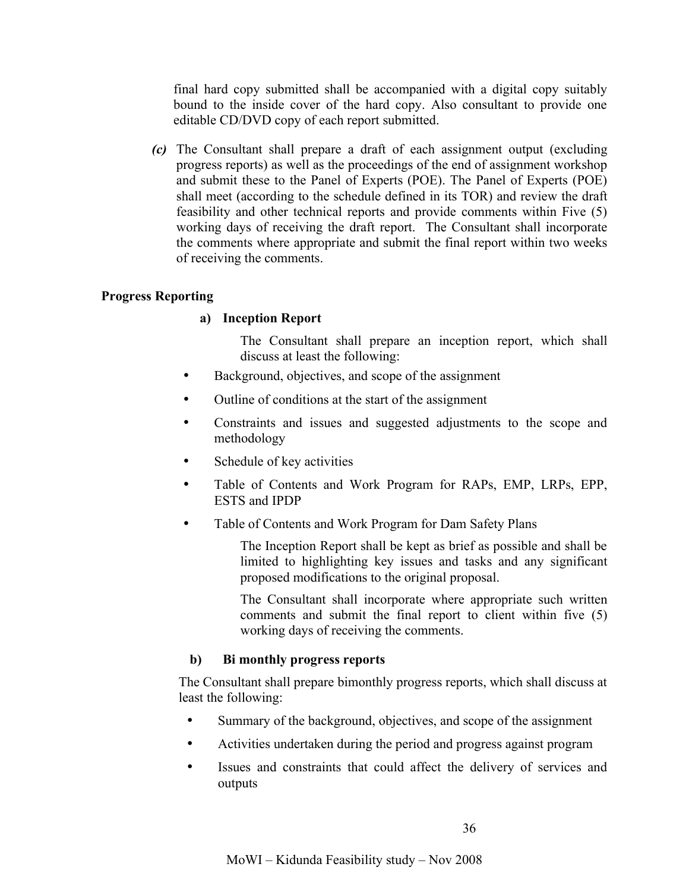final hard copy submitted shall be accompanied with a digital copy suitably bound to the inside cover of the hard copy. Also consultant to provide one editable CD/DVD copy of each report submitted.

*(c)* The Consultant shall prepare a draft of each assignment output (excluding progress reports) as well as the proceedings of the end of assignment workshop and submit these to the Panel of Experts (POE). The Panel of Experts (POE) shall meet (according to the schedule defined in its TOR) and review the draft feasibility and other technical reports and provide comments within Five (5) working days of receiving the draft report. The Consultant shall incorporate the comments where appropriate and submit the final report within two weeks of receiving the comments.

#### **Progress Reporting**

#### **a) Inception Report**

The Consultant shall prepare an inception report, which shall discuss at least the following:

- Background, objectives, and scope of the assignment
- Outline of conditions at the start of the assignment
- Constraints and issues and suggested adjustments to the scope and methodology
- Schedule of key activities
- Table of Contents and Work Program for RAPs, EMP, LRPs, EPP, ESTS and IPDP
- Table of Contents and Work Program for Dam Safety Plans

The Inception Report shall be kept as brief as possible and shall be limited to highlighting key issues and tasks and any significant proposed modifications to the original proposal.

The Consultant shall incorporate where appropriate such written comments and submit the final report to client within five (5) working days of receiving the comments.

#### **b) Bi monthly progress reports**

The Consultant shall prepare bimonthly progress reports, which shall discuss at least the following:

- Summary of the background, objectives, and scope of the assignment
- Activities undertaken during the period and progress against program
- Issues and constraints that could affect the delivery of services and outputs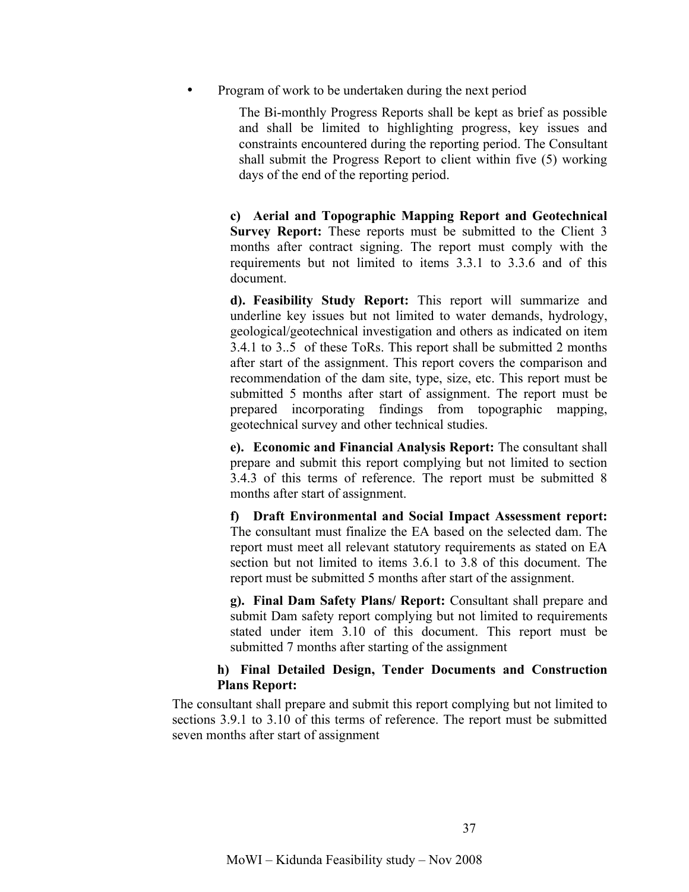• Program of work to be undertaken during the next period

The Bi-monthly Progress Reports shall be kept as brief as possible and shall be limited to highlighting progress, key issues and constraints encountered during the reporting period. The Consultant shall submit the Progress Report to client within five (5) working days of the end of the reporting period.

**c) Aerial and Topographic Mapping Report and Geotechnical Survey Report:** These reports must be submitted to the Client 3 months after contract signing. The report must comply with the requirements but not limited to items 3.3.1 to 3.3.6 and of this document.

**d). Feasibility Study Report:** This report will summarize and underline key issues but not limited to water demands, hydrology, geological/geotechnical investigation and others as indicated on item 3.4.1 to 3..5 of these ToRs. This report shall be submitted 2 months after start of the assignment. This report covers the comparison and recommendation of the dam site, type, size, etc. This report must be submitted 5 months after start of assignment. The report must be prepared incorporating findings from topographic mapping, geotechnical survey and other technical studies.

**e). Economic and Financial Analysis Report:** The consultant shall prepare and submit this report complying but not limited to section 3.4.3 of this terms of reference. The report must be submitted 8 months after start of assignment.

**f) Draft Environmental and Social Impact Assessment report:** The consultant must finalize the EA based on the selected dam. The report must meet all relevant statutory requirements as stated on EA section but not limited to items 3.6.1 to 3.8 of this document. The report must be submitted 5 months after start of the assignment.

**g). Final Dam Safety Plans/ Report:** Consultant shall prepare and submit Dam safety report complying but not limited to requirements stated under item 3.10 of this document. This report must be submitted 7 months after starting of the assignment

#### **h) Final Detailed Design, Tender Documents and Construction Plans Report:**

The consultant shall prepare and submit this report complying but not limited to sections 3.9.1 to 3.10 of this terms of reference. The report must be submitted seven months after start of assignment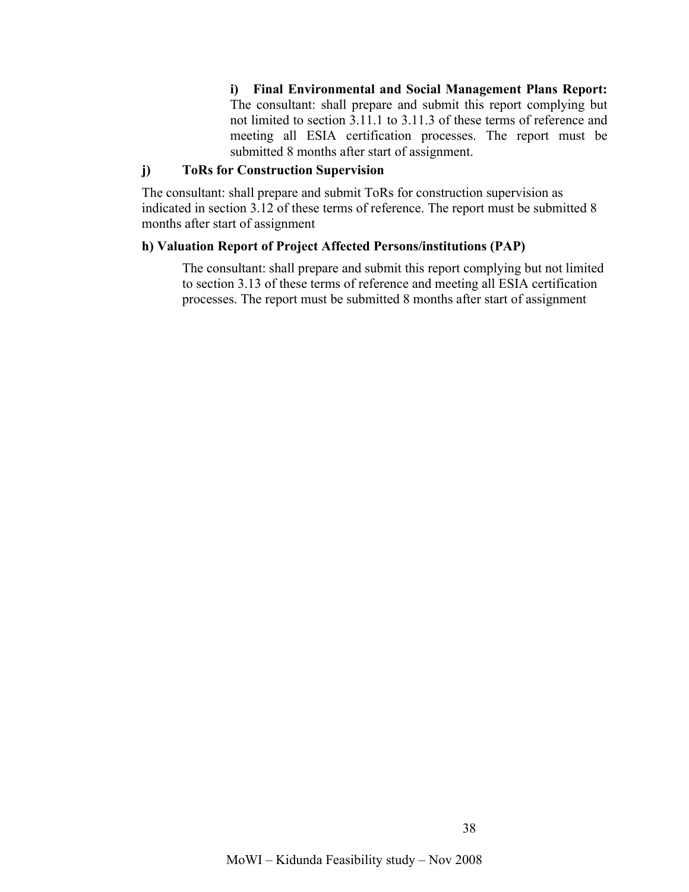**i) Final Environmental and Social Management Plans Report:** The consultant: shall prepare and submit this report complying but not limited to section 3.11.1 to 3.11.3 of these terms of reference and meeting all ESIA certification processes. The report must be submitted 8 months after start of assignment.

#### **j) ToRs for Construction Supervision**

The consultant: shall prepare and submit ToRs for construction supervision as indicated in section 3.12 of these terms of reference. The report must be submitted 8 months after start of assignment

#### **h) Valuation Report of Project Affected Persons/institutions (PAP)**

The consultant: shall prepare and submit this report complying but not limited to section 3.13 of these terms of reference and meeting all ESIA certification processes. The report must be submitted 8 months after start of assignment